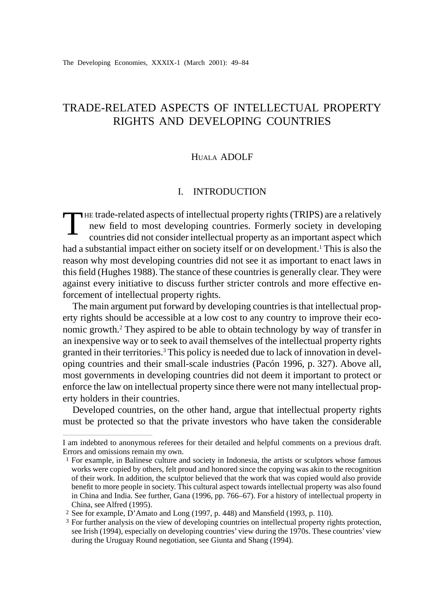# TRADE-RELATED ASPECTS OF INTELLECTUAL PROPERTY RIGHTS AND DEVELOPING COUNTRIES

## HUALA ADOLF

## I. INTRODUCTION

THE trade-related aspects of intellectual property rights (TRIPS) are a relatively<br>new field to most developing countries. Formerly society in developing<br>countries did not consider intellectual property as an important asp new field to most developing countries. Formerly society in developing countries did not consider intellectual property as an important aspect which had a substantial impact either on society itself or on development.<sup>1</sup> This is also the reason why most developing countries did not see it as important to enact laws in this field (Hughes 1988). The stance of these countries is generally clear. They were against every initiative to discuss further stricter controls and more effective enforcement of intellectual property rights.

The main argument put forward by developing countries is that intellectual property rights should be accessible at a low cost to any country to improve their economic growth.<sup>2</sup> They aspired to be able to obtain technology by way of transfer in an inexpensive way or to seek to avail themselves of the intellectual property rights granted in their territories.<sup>3</sup> This policy is needed due to lack of innovation in developing countries and their small-scale industries (Pacón 1996, p. 327). Above all, most governments in developing countries did not deem it important to protect or enforce the law on intellectual property since there were not many intellectual property holders in their countries.

Developed countries, on the other hand, argue that intellectual property rights must be protected so that the private investors who have taken the considerable

––––––––––––––––––––––––––

I am indebted to anonymous referees for their detailed and helpful comments on a previous draft. Errors and omissions remain my own.

 $<sup>1</sup>$  For example, in Balinese culture and society in Indonesia, the artists or sculptors whose famous</sup> works were copied by others, felt proud and honored since the copying was akin to the recognition of their work. In addition, the sculptor believed that the work that was copied would also provide benefit to more people in society. This cultural aspect towards intellectual property was also found in China and India. See further, Gana (1996, pp. 766–67). For a history of intellectual property in China, see Alfred (1995).

<sup>2</sup> See for example, D'Amato and Long (1997, p. 448) and Mansfield (1993, p. 110).

<sup>3</sup> For further analysis on the view of developing countries on intellectual property rights protection, see Irish (1994), especially on developing countries' view during the 1970s. These countries' view during the Uruguay Round negotiation, see Giunta and Shang (1994).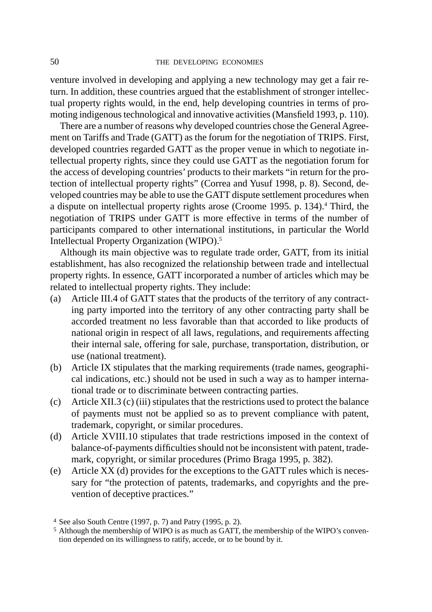venture involved in developing and applying a new technology may get a fair return. In addition, these countries argued that the establishment of stronger intellectual property rights would, in the end, help developing countries in terms of promoting indigenous technological and innovative activities (Mansfield 1993, p. 110).

There are a number of reasons why developed countries chose the General Agreement on Tariffs and Trade (GATT) as the forum for the negotiation of TRIPS. First, developed countries regarded GATT as the proper venue in which to negotiate intellectual property rights, since they could use GATT as the negotiation forum for the access of developing countries' products to their markets "in return for the protection of intellectual property rights" (Correa and Yusuf 1998, p. 8). Second, developed countries may be able to use the GATT dispute settlement procedures when a dispute on intellectual property rights arose (Croome 1995. p. 134).<sup>4</sup> Third, the negotiation of TRIPS under GATT is more effective in terms of the number of participants compared to other international institutions, in particular the World Intellectual Property Organization (WIPO).5

Although its main objective was to regulate trade order, GATT, from its initial establishment, has also recognized the relationship between trade and intellectual property rights. In essence, GATT incorporated a number of articles which may be related to intellectual property rights. They include:

- (a) Article III.4 of GATT states that the products of the territory of any contracting party imported into the territory of any other contracting party shall be accorded treatment no less favorable than that accorded to like products of national origin in respect of all laws, regulations, and requirements affecting their internal sale, offering for sale, purchase, transportation, distribution, or use (national treatment).
- (b) Article IX stipulates that the marking requirements (trade names, geographical indications, etc.) should not be used in such a way as to hamper international trade or to discriminate between contracting parties.
- (c) Article XII.3 (c) (iii) stipulates that the restrictions used to protect the balance of payments must not be applied so as to prevent compliance with patent, trademark, copyright, or similar procedures.
- (d) Article XVIII.10 stipulates that trade restrictions imposed in the context of balance-of-payments difficulties should not be inconsistent with patent, trademark, copyright, or similar procedures (Primo Braga 1995, p. 382).
- (e) Article XX (d) provides for the exceptions to the GATT rules which is necessary for "the protection of patents, trademarks, and copyrights and the prevention of deceptive practices."

<sup>4</sup> See also South Centre (1997, p. 7) and Patry (1995, p. 2).

<sup>5</sup> Although the membership of WIPO is as much as GATT, the membership of the WIPO's convention depended on its willingness to ratify, accede, or to be bound by it.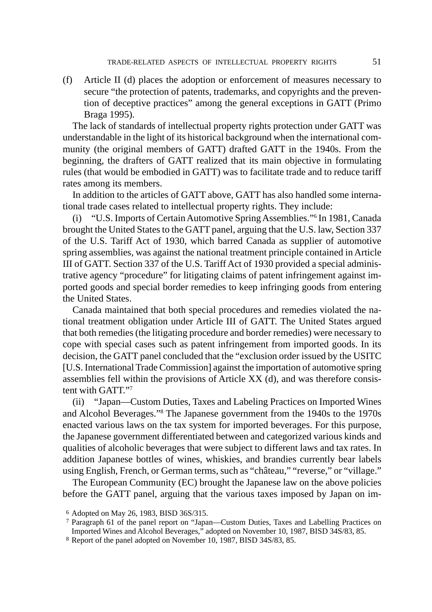(f) Article II (d) places the adoption or enforcement of measures necessary to secure "the protection of patents, trademarks, and copyrights and the prevention of deceptive practices" among the general exceptions in GATT (Primo Braga 1995).

The lack of standards of intellectual property rights protection under GATT was understandable in the light of its historical background when the international community (the original members of GATT) drafted GATT in the 1940s. From the beginning, the drafters of GATT realized that its main objective in formulating rules (that would be embodied in GATT) was to facilitate trade and to reduce tariff rates among its members.

In addition to the articles of GATT above, GATT has also handled some international trade cases related to intellectual property rights. They include:

(i) "U.S. Imports of Certain Automotive Spring Assemblies."6 In 1981, Canada brought the United States to the GATT panel, arguing that the U.S. law, Section 337 of the U.S. Tariff Act of 1930, which barred Canada as supplier of automotive spring assemblies, was against the national treatment principle contained in Article III of GATT. Section 337 of the U.S. Tariff Act of 1930 provided a special administrative agency "procedure" for litigating claims of patent infringement against imported goods and special border remedies to keep infringing goods from entering the United States.

Canada maintained that both special procedures and remedies violated the national treatment obligation under Article III of GATT. The United States argued that both remedies (the litigating procedure and border remedies) were necessary to cope with special cases such as patent infringement from imported goods. In its decision, the GATT panel concluded that the "exclusion order issued by the USITC [U.S. International Trade Commission] against the importation of automotive spring assemblies fell within the provisions of Article XX (d), and was therefore consistent with GATT."7

(ii) "Japan—Custom Duties, Taxes and Labeling Practices on Imported Wines and Alcohol Beverages."8 The Japanese government from the 1940s to the 1970s enacted various laws on the tax system for imported beverages. For this purpose, the Japanese government differentiated between and categorized various kinds and qualities of alcoholic beverages that were subject to different laws and tax rates. In addition Japanese bottles of wines, whiskies, and brandies currently bear labels using English, French, or German terms, such as "château," "reverse," or "village."

The European Community (EC) brought the Japanese law on the above policies before the GATT panel, arguing that the various taxes imposed by Japan on im-

<sup>6</sup> Adopted on May 26, 1983, BISD 36S/315.

<sup>7</sup> Paragraph 61 of the panel report on "Japan—Custom Duties, Taxes and Labelling Practices on Imported Wines and Alcohol Beverages," adopted on November 10, 1987, BISD 34S/83, 85.

<sup>8</sup> Report of the panel adopted on November 10, 1987, BISD 34S/83, 85.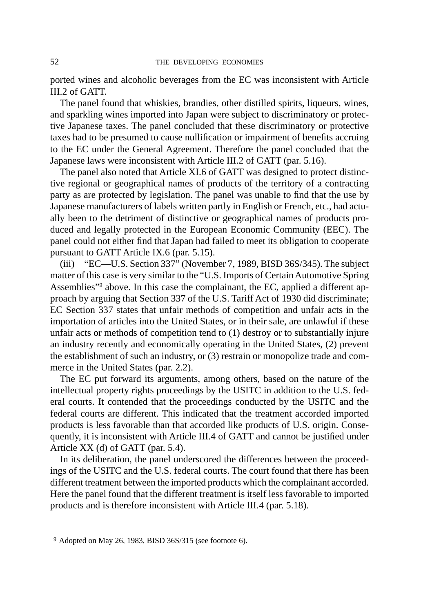ported wines and alcoholic beverages from the EC was inconsistent with Article III.2 of GATT.

The panel found that whiskies, brandies, other distilled spirits, liqueurs, wines, and sparkling wines imported into Japan were subject to discriminatory or protective Japanese taxes. The panel concluded that these discriminatory or protective taxes had to be presumed to cause nullification or impairment of benefits accruing to the EC under the General Agreement. Therefore the panel concluded that the Japanese laws were inconsistent with Article III.2 of GATT (par. 5.16).

The panel also noted that Article XI.6 of GATT was designed to protect distinctive regional or geographical names of products of the territory of a contracting party as are protected by legislation. The panel was unable to find that the use by Japanese manufacturers of labels written partly in English or French, etc., had actually been to the detriment of distinctive or geographical names of products produced and legally protected in the European Economic Community (EEC). The panel could not either find that Japan had failed to meet its obligation to cooperate pursuant to GATT Article IX.6 (par. 5.15).

(iii) "EC—U.S. Section 337" (November 7, 1989, BISD 36S/345). The subject matter of this case is very similar to the "U.S. Imports of Certain Automotive Spring Assemblies"<sup>9</sup> above. In this case the complainant, the EC, applied a different approach by arguing that Section 337 of the U.S. Tariff Act of 1930 did discriminate; EC Section 337 states that unfair methods of competition and unfair acts in the importation of articles into the United States, or in their sale, are unlawful if these unfair acts or methods of competition tend to (1) destroy or to substantially injure an industry recently and economically operating in the United States, (2) prevent the establishment of such an industry, or (3) restrain or monopolize trade and commerce in the United States (par. 2.2).

The EC put forward its arguments, among others, based on the nature of the intellectual property rights proceedings by the USITC in addition to the U.S. federal courts. It contended that the proceedings conducted by the USITC and the federal courts are different. This indicated that the treatment accorded imported products is less favorable than that accorded like products of U.S. origin. Consequently, it is inconsistent with Article III.4 of GATT and cannot be justified under Article XX (d) of GATT (par. 5.4).

In its deliberation, the panel underscored the differences between the proceedings of the USITC and the U.S. federal courts. The court found that there has been different treatment between the imported products which the complainant accorded. Here the panel found that the different treatment is itself less favorable to imported products and is therefore inconsistent with Article III.4 (par. 5.18).

<sup>9</sup> Adopted on May 26, 1983, BISD 36S/315 (see footnote 6).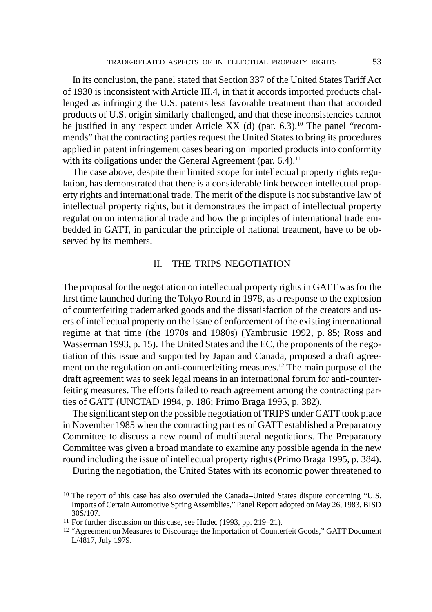In its conclusion, the panel stated that Section 337 of the United States Tariff Act of 1930 is inconsistent with Article III.4, in that it accords imported products challenged as infringing the U.S. patents less favorable treatment than that accorded products of U.S. origin similarly challenged, and that these inconsistencies cannot be justified in any respect under Article XX (d) (par.  $6.3$ ).<sup>10</sup> The panel "recommends" that the contracting parties request the United States to bring its procedures applied in patent infringement cases bearing on imported products into conformity with its obligations under the General Agreement (par.  $6.4$ ).<sup>11</sup>

The case above, despite their limited scope for intellectual property rights regulation, has demonstrated that there is a considerable link between intellectual property rights and international trade. The merit of the dispute is not substantive law of intellectual property rights, but it demonstrates the impact of intellectual property regulation on international trade and how the principles of international trade embedded in GATT, in particular the principle of national treatment, have to be observed by its members.

## II. THE TRIPS NEGOTIATION

The proposal for the negotiation on intellectual property rights in GATT was for the first time launched during the Tokyo Round in 1978, as a response to the explosion of counterfeiting trademarked goods and the dissatisfaction of the creators and users of intellectual property on the issue of enforcement of the existing international regime at that time (the 1970s and 1980s) (Yambrusic 1992, p. 85; Ross and Wasserman 1993, p. 15). The United States and the EC, the proponents of the negotiation of this issue and supported by Japan and Canada, proposed a draft agreement on the regulation on anti-counterfeiting measures.<sup>12</sup> The main purpose of the draft agreement was to seek legal means in an international forum for anti-counterfeiting measures. The efforts failed to reach agreement among the contracting parties of GATT (UNCTAD 1994, p. 186; Primo Braga 1995, p. 382).

The significant step on the possible negotiation of TRIPS under GATT took place in November 1985 when the contracting parties of GATT established a Preparatory Committee to discuss a new round of multilateral negotiations. The Preparatory Committee was given a broad mandate to examine any possible agenda in the new round including the issue of intellectual property rights (Primo Braga 1995, p. 384).

During the negotiation, the United States with its economic power threatened to

<sup>10</sup> The report of this case has also overruled the Canada–United States dispute concerning "U.S. Imports of Certain Automotive Spring Assemblies," Panel Report adopted on May 26, 1983, BISD 30S/107.

<sup>11</sup> For further discussion on this case, see Hudec (1993, pp. 219–21).

<sup>12</sup> "Agreement on Measures to Discourage the Importation of Counterfeit Goods," GATT Document L/4817, July 1979.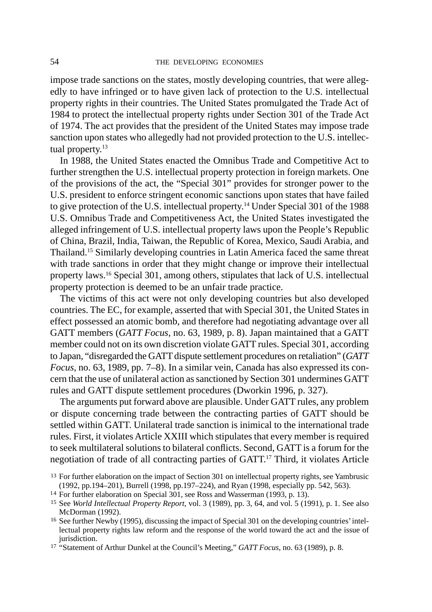impose trade sanctions on the states, mostly developing countries, that were allegedly to have infringed or to have given lack of protection to the U.S. intellectual property rights in their countries. The United States promulgated the Trade Act of 1984 to protect the intellectual property rights under Section 301 of the Trade Act of 1974. The act provides that the president of the United States may impose trade sanction upon states who allegedly had not provided protection to the U.S. intellectual property.<sup>13</sup>

In 1988, the United States enacted the Omnibus Trade and Competitive Act to further strengthen the U.S. intellectual property protection in foreign markets. One of the provisions of the act, the "Special 301" provides for stronger power to the U.S. president to enforce stringent economic sanctions upon states that have failed to give protection of the U.S. intellectual property.14 Under Special 301 of the 1988 U.S. Omnibus Trade and Competitiveness Act, the United States investigated the alleged infringement of U.S. intellectual property laws upon the People's Republic of China, Brazil, India, Taiwan, the Republic of Korea, Mexico, Saudi Arabia, and Thailand.15 Similarly developing countries in Latin America faced the same threat with trade sanctions in order that they might change or improve their intellectual property laws.16 Special 301, among others, stipulates that lack of U.S. intellectual property protection is deemed to be an unfair trade practice.

The victims of this act were not only developing countries but also developed countries. The EC, for example, asserted that with Special 301, the United States in effect possessed an atomic bomb, and therefore had negotiating advantage over all GATT members (*GATT Focus*, no. 63, 1989, p. 8). Japan maintained that a GATT member could not on its own discretion violate GATT rules. Special 301, according to Japan, "disregarded the GATT dispute settlement procedures on retaliation" (*GATT Focus*, no. 63, 1989, pp. 7–8). In a similar vein, Canada has also expressed its concern that the use of unilateral action as sanctioned by Section 301 undermines GATT rules and GATT dispute settlement procedures (Dworkin 1996, p. 327).

The arguments put forward above are plausible. Under GATT rules, any problem or dispute concerning trade between the contracting parties of GATT should be settled within GATT. Unilateral trade sanction is inimical to the international trade rules. First, it violates Article XXIII which stipulates that every member is required to seek multilateral solutions to bilateral conflicts. Second, GATT is a forum for the negotiation of trade of all contracting parties of GATT.17 Third, it violates Article

<sup>&</sup>lt;sup>13</sup> For further elaboration on the impact of Section 301 on intellectual property rights, see Yambrusic (1992, pp.194–201), Burrell (1998, pp.197–224), and Ryan (1998, especially pp. 542, 563).

<sup>14</sup> For further elaboration on Special 301, see Ross and Wasserman (1993, p. 13).

<sup>15</sup> See *World Intellectual Property Report*, vol. 3 (1989), pp. 3, 64, and vol. 5 (1991), p. 1. See also McDorman (1992).

<sup>16</sup> See further Newby (1995), discussing the impact of Special 301 on the developing countries' intellectual property rights law reform and the response of the world toward the act and the issue of jurisdiction.

<sup>17</sup> "Statement of Arthur Dunkel at the Council's Meeting," *GATT Focus*, no. 63 (1989), p. 8.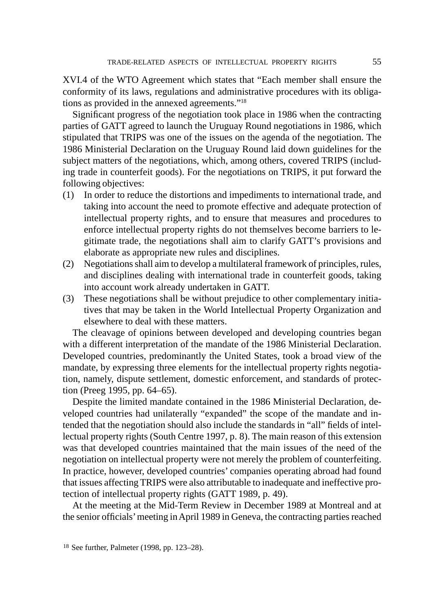XVI.4 of the WTO Agreement which states that "Each member shall ensure the conformity of its laws, regulations and administrative procedures with its obligations as provided in the annexed agreements."18

Significant progress of the negotiation took place in 1986 when the contracting parties of GATT agreed to launch the Uruguay Round negotiations in 1986, which stipulated that TRIPS was one of the issues on the agenda of the negotiation. The 1986 Ministerial Declaration on the Uruguay Round laid down guidelines for the subject matters of the negotiations, which, among others, covered TRIPS (including trade in counterfeit goods). For the negotiations on TRIPS, it put forward the following objectives:

- (1) In order to reduce the distortions and impediments to international trade, and taking into account the need to promote effective and adequate protection of intellectual property rights, and to ensure that measures and procedures to enforce intellectual property rights do not themselves become barriers to legitimate trade, the negotiations shall aim to clarify GATT's provisions and elaborate as appropriate new rules and disciplines.
- (2) Negotiations shall aim to develop a multilateral framework of principles, rules, and disciplines dealing with international trade in counterfeit goods, taking into account work already undertaken in GATT.
- (3) These negotiations shall be without prejudice to other complementary initiatives that may be taken in the World Intellectual Property Organization and elsewhere to deal with these matters.

The cleavage of opinions between developed and developing countries began with a different interpretation of the mandate of the 1986 Ministerial Declaration. Developed countries, predominantly the United States, took a broad view of the mandate, by expressing three elements for the intellectual property rights negotiation, namely, dispute settlement, domestic enforcement, and standards of protection (Preeg 1995, pp. 64–65).

Despite the limited mandate contained in the 1986 Ministerial Declaration, developed countries had unilaterally "expanded" the scope of the mandate and intended that the negotiation should also include the standards in "all" fields of intellectual property rights (South Centre 1997, p. 8). The main reason of this extension was that developed countries maintained that the main issues of the need of the negotiation on intellectual property were not merely the problem of counterfeiting. In practice, however, developed countries' companies operating abroad had found that issues affecting TRIPS were also attributable to inadequate and ineffective protection of intellectual property rights (GATT 1989, p. 49).

At the meeting at the Mid-Term Review in December 1989 at Montreal and at the senior officials' meeting in April 1989 in Geneva, the contracting parties reached

<sup>18</sup> See further, Palmeter (1998, pp. 123–28).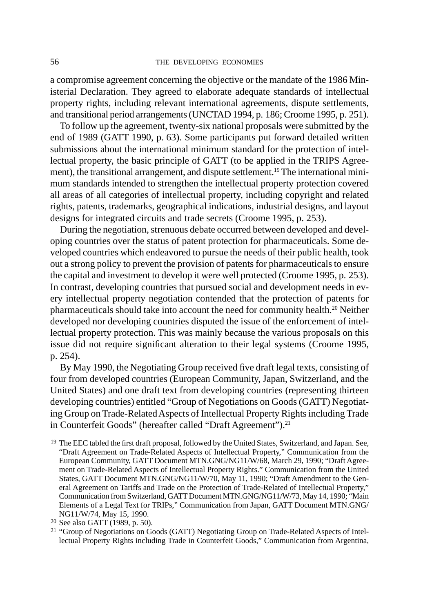a compromise agreement concerning the objective or the mandate of the 1986 Ministerial Declaration. They agreed to elaborate adequate standards of intellectual property rights, including relevant international agreements, dispute settlements, and transitional period arrangements (UNCTAD 1994, p. 186; Croome 1995, p. 251).

To follow up the agreement, twenty-six national proposals were submitted by the end of 1989 (GATT 1990, p. 63). Some participants put forward detailed written submissions about the international minimum standard for the protection of intellectual property, the basic principle of GATT (to be applied in the TRIPS Agreement), the transitional arrangement, and dispute settlement.19 The international minimum standards intended to strengthen the intellectual property protection covered all areas of all categories of intellectual property, including copyright and related rights, patents, trademarks, geographical indications, industrial designs, and layout designs for integrated circuits and trade secrets (Croome 1995, p. 253).

During the negotiation, strenuous debate occurred between developed and developing countries over the status of patent protection for pharmaceuticals. Some developed countries which endeavored to pursue the needs of their public health, took out a strong policy to prevent the provision of patents for pharmaceuticals to ensure the capital and investment to develop it were well protected (Croome 1995, p. 253). In contrast, developing countries that pursued social and development needs in every intellectual property negotiation contended that the protection of patents for pharmaceuticals should take into account the need for community health.20 Neither developed nor developing countries disputed the issue of the enforcement of intellectual property protection. This was mainly because the various proposals on this issue did not require significant alteration to their legal systems (Croome 1995, p. 254).

By May 1990, the Negotiating Group received five draft legal texts, consisting of four from developed countries (European Community, Japan, Switzerland, and the United States) and one draft text from developing countries (representing thirteen developing countries) entitled "Group of Negotiations on Goods (GATT) Negotiating Group on Trade-Related Aspects of Intellectual Property Rights including Trade in Counterfeit Goods" (hereafter called "Draft Agreement").<sup>21</sup>

<sup>19</sup> The EEC tabled the first draft proposal, followed by the United States, Switzerland, and Japan. See, "Draft Agreement on Trade-Related Aspects of Intellectual Property," Communication from the European Community, GATT Document MTN.GNG/NG11/W/68, March 29, 1990; "Draft Agreement on Trade-Related Aspects of Intellectual Property Rights." Communication from the United States, GATT Document MTN.GNG/NG11/W/70, May 11, 1990; "Draft Amendment to the General Agreement on Tariffs and Trade on the Protection of Trade-Related of Intellectual Property," Communication from Switzerland, GATT Document MTN.GNG/NG11/W/73, May 14, 1990; "Main Elements of a Legal Text for TRIPs," Communication from Japan, GATT Document MTN.GNG/ NG11/W/74, May 15, 1990.

<sup>20</sup> See also GATT (1989, p. 50).

<sup>21</sup> "Group of Negotiations on Goods (GATT) Negotiating Group on Trade-Related Aspects of Intellectual Property Rights including Trade in Counterfeit Goods," Communication from Argentina,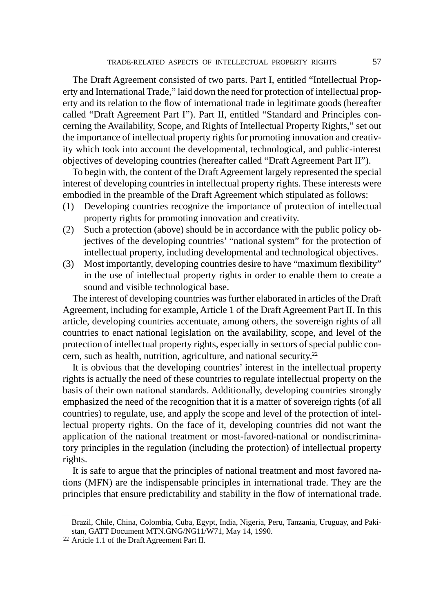The Draft Agreement consisted of two parts. Part I, entitled "Intellectual Property and International Trade," laid down the need for protection of intellectual property and its relation to the flow of international trade in legitimate goods (hereafter called "Draft Agreement Part I"). Part II, entitled "Standard and Principles concerning the Availability, Scope, and Rights of Intellectual Property Rights," set out the importance of intellectual property rights for promoting innovation and creativity which took into account the developmental, technological, and public-interest objectives of developing countries (hereafter called "Draft Agreement Part II").

To begin with, the content of the Draft Agreement largely represented the special interest of developing countries in intellectual property rights. These interests were embodied in the preamble of the Draft Agreement which stipulated as follows:

- (1) Developing countries recognize the importance of protection of intellectual property rights for promoting innovation and creativity.
- (2) Such a protection (above) should be in accordance with the public policy objectives of the developing countries' "national system" for the protection of intellectual property, including developmental and technological objectives.
- (3) Most importantly, developing countries desire to have "maximum flexibility" in the use of intellectual property rights in order to enable them to create a sound and visible technological base.

The interest of developing countries was further elaborated in articles of the Draft Agreement, including for example, Article 1 of the Draft Agreement Part II. In this article, developing countries accentuate, among others, the sovereign rights of all countries to enact national legislation on the availability, scope, and level of the protection of intellectual property rights, especially in sectors of special public concern, such as health, nutrition, agriculture, and national security.22

It is obvious that the developing countries' interest in the intellectual property rights is actually the need of these countries to regulate intellectual property on the basis of their own national standards. Additionally, developing countries strongly emphasized the need of the recognition that it is a matter of sovereign rights (of all countries) to regulate, use, and apply the scope and level of the protection of intellectual property rights. On the face of it, developing countries did not want the application of the national treatment or most-favored-national or nondiscriminatory principles in the regulation (including the protection) of intellectual property rights.

It is safe to argue that the principles of national treatment and most favored nations (MFN) are the indispensable principles in international trade. They are the principles that ensure predictability and stability in the flow of international trade.

––––––––––––––––––––––––––

Brazil, Chile, China, Colombia, Cuba, Egypt, India, Nigeria, Peru, Tanzania, Uruguay, and Pakistan, GATT Document MTN.GNG/NG11/W71, May 14, 1990.

<sup>22</sup> Article 1.1 of the Draft Agreement Part II.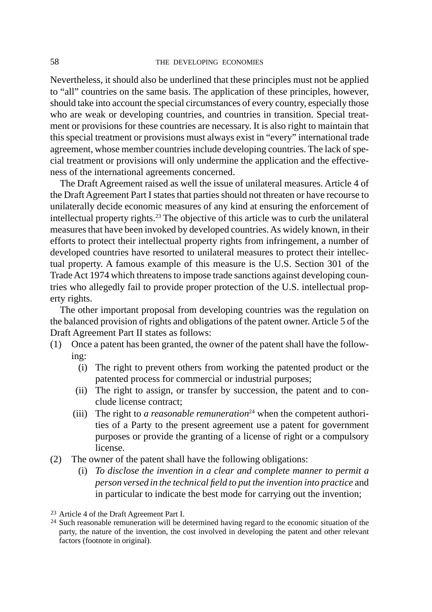Nevertheless, it should also be underlined that these principles must not be applied to "all" countries on the same basis. The application of these principles, however, should take into account the special circumstances of every country, especially those who are weak or developing countries, and countries in transition. Special treatment or provisions for these countries are necessary. It is also right to maintain that this special treatment or provisions must always exist in "every" international trade agreement, whose member countries include developing countries. The lack of special treatment or provisions will only undermine the application and the effectiveness of the international agreements concerned.

The Draft Agreement raised as well the issue of unilateral measures. Article 4 of the Draft Agreement Part I states that parties should not threaten or have recourse to unilaterally decide economic measures of any kind at ensuring the enforcement of intellectual property rights.23 The objective of this article was to curb the unilateral measures that have been invoked by developed countries. As widely known, in their efforts to protect their intellectual property rights from infringement, a number of developed countries have resorted to unilateral measures to protect their intellectual property. A famous example of this measure is the U.S. Section 301 of the Trade Act 1974 which threatens to impose trade sanctions against developing countries who allegedly fail to provide proper protection of the U.S. intellectual property rights.

The other important proposal from developing countries was the regulation on the balanced provision of rights and obligations of the patent owner. Article 5 of the Draft Agreement Part II states as follows:

- (1) Once a patent has been granted, the owner of the patent shall have the following:
	- (i) The right to prevent others from working the patented product or the patented process for commercial or industrial purposes;
	- (ii) The right to assign, or transfer by succession, the patent and to conclude license contract;
	- (iii) The right to *a reasonable remuneration*<sup>24</sup> when the competent authorities of a Party to the present agreement use a patent for government purposes or provide the granting of a license of right or a compulsory license.
- (2) The owner of the patent shall have the following obligations:
	- (i) *To disclose the invention in a clear and complete manner to permit a person versed in the technical field to put the invention into practice* and in particular to indicate the best mode for carrying out the invention;

<sup>23</sup> Article 4 of the Draft Agreement Part I.

<sup>&</sup>lt;sup>24</sup> Such reasonable remuneration will be determined having regard to the economic situation of the party, the nature of the invention, the cost involved in developing the patent and other relevant factors (footnote in original).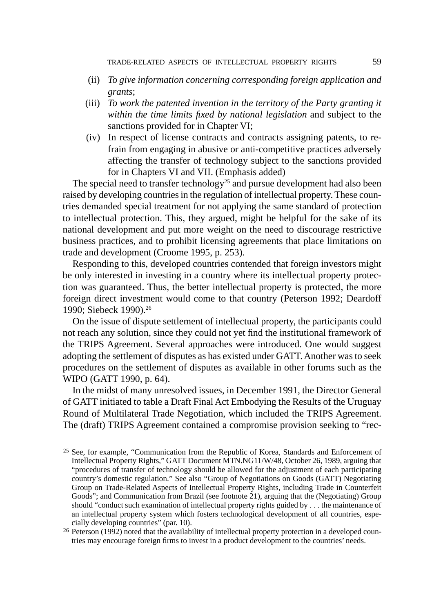- (ii) *To give information concerning corresponding foreign application and grants*;
- (iii) *To work the patented invention in the territory of the Party granting it within the time limits fixed by national legislation* and subject to the sanctions provided for in Chapter VI;
- (iv) In respect of license contracts and contracts assigning patents, to refrain from engaging in abusive or anti-competitive practices adversely affecting the transfer of technology subject to the sanctions provided for in Chapters VI and VII. (Emphasis added)

The special need to transfer technology<sup>25</sup> and pursue development had also been raised by developing countries in the regulation of intellectual property. These countries demanded special treatment for not applying the same standard of protection to intellectual protection. This, they argued, might be helpful for the sake of its national development and put more weight on the need to discourage restrictive business practices, and to prohibit licensing agreements that place limitations on trade and development (Croome 1995, p. 253).

Responding to this, developed countries contended that foreign investors might be only interested in investing in a country where its intellectual property protection was guaranteed. Thus, the better intellectual property is protected, the more foreign direct investment would come to that country (Peterson 1992; Deardoff 1990; Siebeck 1990).26

On the issue of dispute settlement of intellectual property, the participants could not reach any solution, since they could not yet find the institutional framework of the TRIPS Agreement. Several approaches were introduced. One would suggest adopting the settlement of disputes as has existed under GATT. Another was to seek procedures on the settlement of disputes as available in other forums such as the WIPO (GATT 1990, p. 64).

In the midst of many unresolved issues, in December 1991, the Director General of GATT initiated to table a Draft Final Act Embodying the Results of the Uruguay Round of Multilateral Trade Negotiation, which included the TRIPS Agreement. The (draft) TRIPS Agreement contained a compromise provision seeking to "rec-

26 Peterson (1992) noted that the availability of intellectual property protection in a developed countries may encourage foreign firms to invest in a product development to the countries' needs.

<sup>25</sup> See, for example, "Communication from the Republic of Korea, Standards and Enforcement of Intellectual Property Rights," GATT Document MTN.NG11/W/48, October 26, 1989, arguing that "procedures of transfer of technology should be allowed for the adjustment of each participating country's domestic regulation." See also "Group of Negotiations on Goods (GATT) Negotiating Group on Trade-Related Aspects of Intellectual Property Rights, including Trade in Counterfeit Goods"; and Communication from Brazil (see footnote 21), arguing that the (Negotiating) Group should "conduct such examination of intellectual property rights guided by . . . the maintenance of an intellectual property system which fosters technological development of all countries, especially developing countries" (par. 10).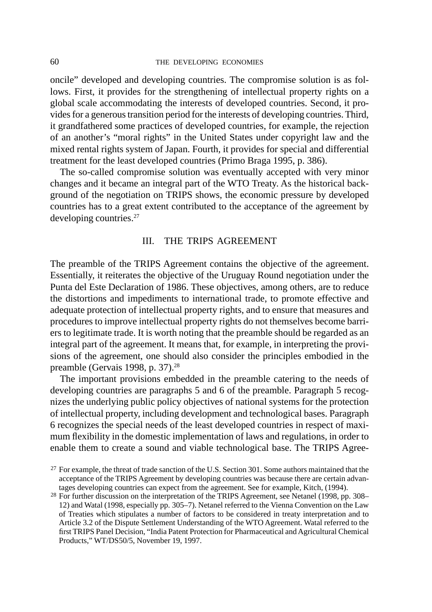oncile" developed and developing countries. The compromise solution is as follows. First, it provides for the strengthening of intellectual property rights on a global scale accommodating the interests of developed countries. Second, it provides for a generous transition period for the interests of developing countries. Third, it grandfathered some practices of developed countries, for example, the rejection of an another's "moral rights" in the United States under copyright law and the mixed rental rights system of Japan. Fourth, it provides for special and differential treatment for the least developed countries (Primo Braga 1995, p. 386).

The so-called compromise solution was eventually accepted with very minor changes and it became an integral part of the WTO Treaty. As the historical background of the negotiation on TRIPS shows, the economic pressure by developed countries has to a great extent contributed to the acceptance of the agreement by developing countries.<sup>27</sup>

## III. THE TRIPS AGREEMENT

The preamble of the TRIPS Agreement contains the objective of the agreement. Essentially, it reiterates the objective of the Uruguay Round negotiation under the Punta del Este Declaration of 1986. These objectives, among others, are to reduce the distortions and impediments to international trade, to promote effective and adequate protection of intellectual property rights, and to ensure that measures and procedures to improve intellectual property rights do not themselves become barriers to legitimate trade. It is worth noting that the preamble should be regarded as an integral part of the agreement. It means that, for example, in interpreting the provisions of the agreement, one should also consider the principles embodied in the preamble (Gervais 1998, p. 37).<sup>28</sup>

The important provisions embedded in the preamble catering to the needs of developing countries are paragraphs 5 and 6 of the preamble. Paragraph 5 recognizes the underlying public policy objectives of national systems for the protection of intellectual property, including development and technological bases. Paragraph 6 recognizes the special needs of the least developed countries in respect of maximum flexibility in the domestic implementation of laws and regulations, in order to enable them to create a sound and viable technological base. The TRIPS Agree-

<sup>&</sup>lt;sup>27</sup> For example, the threat of trade sanction of the U.S. Section 301. Some authors maintained that the acceptance of the TRIPS Agreement by developing countries was because there are certain advantages developing countries can expect from the agreement. See for example, Kitch, (1994).

<sup>28</sup> For further discussion on the interpretation of the TRIPS Agreement, see Netanel (1998, pp. 308– 12) and Watal (1998, especially pp. 305–7). Netanel referred to the Vienna Convention on the Law of Treaties which stipulates a number of factors to be considered in treaty interpretation and to Article 3.2 of the Dispute Settlement Understanding of the WTO Agreement. Watal referred to the first TRIPS Panel Decision, "India Patent Protection for Pharmaceutical and Agricultural Chemical Products," WT/DS50/5, November 19, 1997.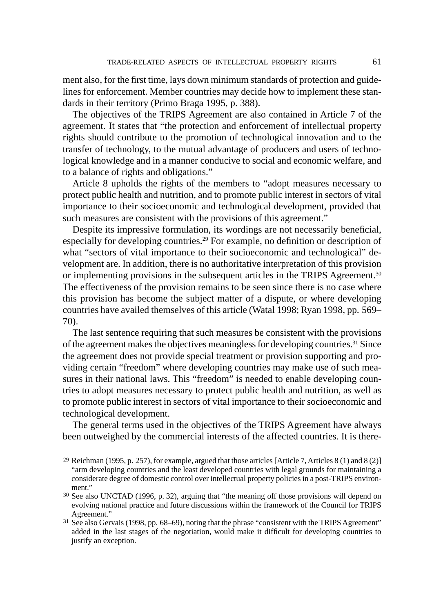ment also, for the first time, lays down minimum standards of protection and guidelines for enforcement. Member countries may decide how to implement these standards in their territory (Primo Braga 1995, p. 388).

The objectives of the TRIPS Agreement are also contained in Article 7 of the agreement. It states that "the protection and enforcement of intellectual property rights should contribute to the promotion of technological innovation and to the transfer of technology, to the mutual advantage of producers and users of technological knowledge and in a manner conducive to social and economic welfare, and to a balance of rights and obligations."

Article 8 upholds the rights of the members to "adopt measures necessary to protect public health and nutrition, and to promote public interest in sectors of vital importance to their socioeconomic and technological development, provided that such measures are consistent with the provisions of this agreement."

Despite its impressive formulation, its wordings are not necessarily beneficial, especially for developing countries.29 For example, no definition or description of what "sectors of vital importance to their socioeconomic and technological" development are. In addition, there is no authoritative interpretation of this provision or implementing provisions in the subsequent articles in the TRIPS Agreement.30 The effectiveness of the provision remains to be seen since there is no case where this provision has become the subject matter of a dispute, or where developing countries have availed themselves of this article (Watal 1998; Ryan 1998, pp. 569– 70).

The last sentence requiring that such measures be consistent with the provisions of the agreement makes the objectives meaningless for developing countries.31 Since the agreement does not provide special treatment or provision supporting and providing certain "freedom" where developing countries may make use of such measures in their national laws. This "freedom" is needed to enable developing countries to adopt measures necessary to protect public health and nutrition, as well as to promote public interest in sectors of vital importance to their socioeconomic and technological development.

The general terms used in the objectives of the TRIPS Agreement have always been outweighed by the commercial interests of the affected countries. It is there-

<sup>&</sup>lt;sup>29</sup> Reichman (1995, p. 257), for example, argued that those articles [Article 7, Articles 8 (1) and 8 (2)] "arm developing countries and the least developed countries with legal grounds for maintaining a considerate degree of domestic control over intellectual property policies in a post-TRIPS environment."

<sup>30</sup> See also UNCTAD (1996, p. 32), arguing that "the meaning off those provisions will depend on evolving national practice and future discussions within the framework of the Council for TRIPS Agreement."

<sup>31</sup> See also Gervais (1998, pp. 68–69), noting that the phrase "consistent with the TRIPS Agreement" added in the last stages of the negotiation, would make it difficult for developing countries to justify an exception.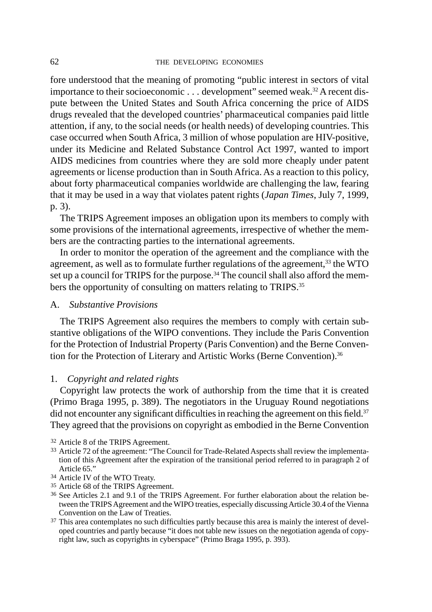fore understood that the meaning of promoting "public interest in sectors of vital importance to their socioeconomic . . . development" seemed weak.32 A recent dispute between the United States and South Africa concerning the price of AIDS drugs revealed that the developed countries' pharmaceutical companies paid little attention, if any, to the social needs (or health needs) of developing countries. This case occurred when South Africa, 3 million of whose population are HIV-positive, under its Medicine and Related Substance Control Act 1997, wanted to import AIDS medicines from countries where they are sold more cheaply under patent agreements or license production than in South Africa. As a reaction to this policy, about forty pharmaceutical companies worldwide are challenging the law, fearing that it may be used in a way that violates patent rights (*Japan Times*, July 7, 1999, p. 3).

The TRIPS Agreement imposes an obligation upon its members to comply with some provisions of the international agreements, irrespective of whether the members are the contracting parties to the international agreements.

In order to monitor the operation of the agreement and the compliance with the agreement, as well as to formulate further regulations of the agreement,<sup>33</sup> the WTO set up a council for TRIPS for the purpose.<sup>34</sup> The council shall also afford the members the opportunity of consulting on matters relating to TRIPS.<sup>35</sup>

## A. *Substantive Provisions*

The TRIPS Agreement also requires the members to comply with certain substantive obligations of the WIPO conventions. They include the Paris Convention for the Protection of Industrial Property (Paris Convention) and the Berne Convention for the Protection of Literary and Artistic Works (Berne Convention).<sup>36</sup>

#### 1. *Copyright and related rights*

Copyright law protects the work of authorship from the time that it is created (Primo Braga 1995, p. 389). The negotiators in the Uruguay Round negotiations did not encounter any significant difficulties in reaching the agreement on this field.<sup>37</sup> They agreed that the provisions on copyright as embodied in the Berne Convention

- <sup>34</sup> Article IV of the WTO Treaty.
- 35 Article 68 of the TRIPS Agreement.
- 36 See Articles 2.1 and 9.1 of the TRIPS Agreement. For further elaboration about the relation between the TRIPS Agreement and the WIPO treaties, especially discussing Article 30.4 of the Vienna Convention on the Law of Treaties.
- <sup>37</sup> This area contemplates no such difficulties partly because this area is mainly the interest of developed countries and partly because "it does not table new issues on the negotiation agenda of copyright law, such as copyrights in cyberspace" (Primo Braga 1995, p. 393).

<sup>32</sup> Article 8 of the TRIPS Agreement.

<sup>&</sup>lt;sup>33</sup> Article 72 of the agreement: "The Council for Trade-Related Aspects shall review the implementation of this Agreement after the expiration of the transitional period referred to in paragraph 2 of Article 65."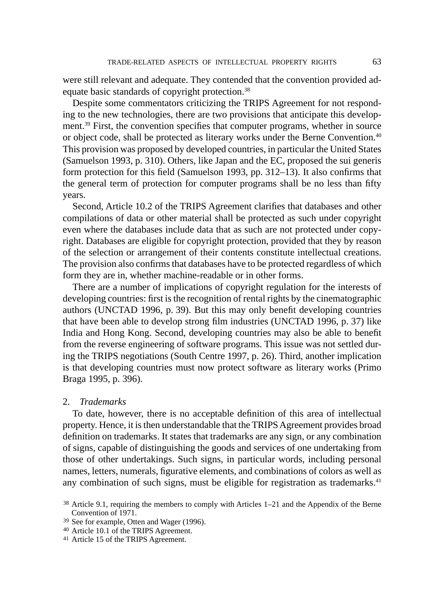were still relevant and adequate. They contended that the convention provided adequate basic standards of copyright protection.<sup>38</sup>

Despite some commentators criticizing the TRIPS Agreement for not responding to the new technologies, there are two provisions that anticipate this development.39 First, the convention specifies that computer programs, whether in source or object code, shall be protected as literary works under the Berne Convention.40 This provision was proposed by developed countries, in particular the United States (Samuelson 1993, p. 310). Others, like Japan and the EC, proposed the sui generis form protection for this field (Samuelson 1993, pp. 312–13). It also confirms that the general term of protection for computer programs shall be no less than fifty years.

Second, Article 10.2 of the TRIPS Agreement clarifies that databases and other compilations of data or other material shall be protected as such under copyright even where the databases include data that as such are not protected under copyright. Databases are eligible for copyright protection, provided that they by reason of the selection or arrangement of their contents constitute intellectual creations. The provision also confirms that databases have to be protected regardless of which form they are in, whether machine-readable or in other forms.

There are a number of implications of copyright regulation for the interests of developing countries: first is the recognition of rental rights by the cinematographic authors (UNCTAD 1996, p. 39). But this may only benefit developing countries that have been able to develop strong film industries (UNCTAD 1996, p. 37) like India and Hong Kong. Second, developing countries may also be able to benefit from the reverse engineering of software programs. This issue was not settled during the TRIPS negotiations (South Centre 1997, p. 26). Third, another implication is that developing countries must now protect software as literary works (Primo Braga 1995, p. 396).

#### 2. *Trademarks*

To date, however, there is no acceptable definition of this area of intellectual property. Hence, it is then understandable that the TRIPS Agreement provides broad definition on trademarks. It states that trademarks are any sign, or any combination of signs, capable of distinguishing the goods and services of one undertaking from those of other undertakings. Such signs, in particular words, including personal names, letters, numerals, figurative elements, and combinations of colors as well as any combination of such signs, must be eligible for registration as trademarks.<sup>41</sup>

<sup>38</sup> Article 9.1, requiring the members to comply with Articles 1–21 and the Appendix of the Berne Convention of 1971.

<sup>39</sup> See for example, Otten and Wager (1996).

<sup>40</sup> Article 10.1 of the TRIPS Agreement.

<sup>41</sup> Article 15 of the TRIPS Agreement.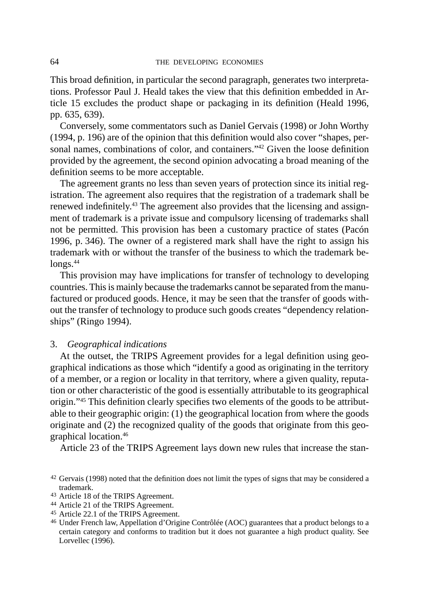This broad definition, in particular the second paragraph, generates two interpretations. Professor Paul J. Heald takes the view that this definition embedded in Article 15 excludes the product shape or packaging in its definition (Heald 1996, pp. 635, 639).

Conversely, some commentators such as Daniel Gervais (1998) or John Worthy (1994, p. 196) are of the opinion that this definition would also cover "shapes, personal names, combinations of color, and containers."<sup>42</sup> Given the loose definition provided by the agreement, the second opinion advocating a broad meaning of the definition seems to be more acceptable.

The agreement grants no less than seven years of protection since its initial registration. The agreement also requires that the registration of a trademark shall be renewed indefinitely.43 The agreement also provides that the licensing and assignment of trademark is a private issue and compulsory licensing of trademarks shall not be permitted. This provision has been a customary practice of states (Pacón 1996, p. 346). The owner of a registered mark shall have the right to assign his trademark with or without the transfer of the business to which the trademark belongs.<sup>44</sup>

This provision may have implications for transfer of technology to developing countries. This is mainly because the trademarks cannot be separated from the manufactured or produced goods. Hence, it may be seen that the transfer of goods without the transfer of technology to produce such goods creates "dependency relationships" (Ringo 1994).

#### 3. *Geographical indications*

At the outset, the TRIPS Agreement provides for a legal definition using geographical indications as those which "identify a good as originating in the territory of a member, or a region or locality in that territory, where a given quality, reputation or other characteristic of the good is essentially attributable to its geographical origin."45 This definition clearly specifies two elements of the goods to be attributable to their geographic origin: (1) the geographical location from where the goods originate and (2) the recognized quality of the goods that originate from this geographical location.46

Article 23 of the TRIPS Agreement lays down new rules that increase the stan-

- <sup>43</sup> Article 18 of the TRIPS Agreement.
- 44 Article 21 of the TRIPS Agreement.
- 45 Article 22.1 of the TRIPS Agreement.

<sup>42</sup> Gervais (1998) noted that the definition does not limit the types of signs that may be considered a trademark.

<sup>46</sup> Under French law, Appellation d'Origine Contrôlée (AOC) guarantees that a product belongs to a certain category and conforms to tradition but it does not guarantee a high product quality. See Lorvellec (1996).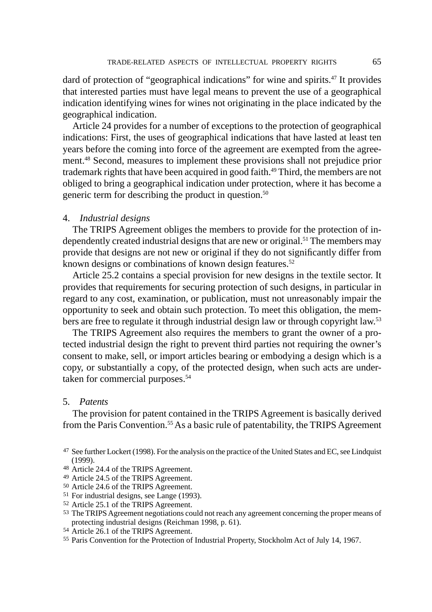dard of protection of "geographical indications" for wine and spirits.47 It provides that interested parties must have legal means to prevent the use of a geographical indication identifying wines for wines not originating in the place indicated by the geographical indication.

Article 24 provides for a number of exceptions to the protection of geographical indications: First, the uses of geographical indications that have lasted at least ten years before the coming into force of the agreement are exempted from the agreement.48 Second, measures to implement these provisions shall not prejudice prior trademark rights that have been acquired in good faith.49 Third, the members are not obliged to bring a geographical indication under protection, where it has become a generic term for describing the product in question.50

#### 4. *Industrial designs*

The TRIPS Agreement obliges the members to provide for the protection of independently created industrial designs that are new or original.<sup>51</sup> The members may provide that designs are not new or original if they do not significantly differ from known designs or combinations of known design features.<sup>52</sup>

Article 25.2 contains a special provision for new designs in the textile sector. It provides that requirements for securing protection of such designs, in particular in regard to any cost, examination, or publication, must not unreasonably impair the opportunity to seek and obtain such protection. To meet this obligation, the members are free to regulate it through industrial design law or through copyright law.53

The TRIPS Agreement also requires the members to grant the owner of a protected industrial design the right to prevent third parties not requiring the owner's consent to make, sell, or import articles bearing or embodying a design which is a copy, or substantially a copy, of the protected design, when such acts are undertaken for commercial purposes.54

#### 5. *Patents*

The provision for patent contained in the TRIPS Agreement is basically derived from the Paris Convention.<sup>55</sup> As a basic rule of patentability, the TRIPS Agreement

<sup>&</sup>lt;sup>47</sup> See further Lockert (1998). For the analysis on the practice of the United States and EC, see Lindquist (1999).

<sup>48</sup> Article 24.4 of the TRIPS Agreement.

<sup>49</sup> Article 24.5 of the TRIPS Agreement.

<sup>50</sup> Article 24.6 of the TRIPS Agreement.

<sup>51</sup> For industrial designs, see Lange (1993).

<sup>52</sup> Article 25.1 of the TRIPS Agreement.

<sup>53</sup> The TRIPS Agreement negotiations could not reach any agreement concerning the proper means of protecting industrial designs (Reichman 1998, p. 61).

<sup>54</sup> Article 26.1 of the TRIPS Agreement.

<sup>55</sup> Paris Convention for the Protection of Industrial Property, Stockholm Act of July 14, 1967.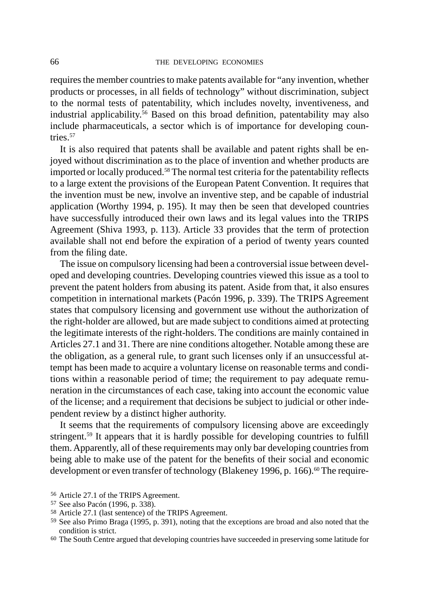requires the member countries to make patents available for "any invention, whether products or processes, in all fields of technology" without discrimination, subject to the normal tests of patentability, which includes novelty, inventiveness, and industrial applicability.56 Based on this broad definition, patentability may also include pharmaceuticals, a sector which is of importance for developing countries<sup>57</sup>

It is also required that patents shall be available and patent rights shall be enjoyed without discrimination as to the place of invention and whether products are imported or locally produced.58 The normal test criteria for the patentability reflects to a large extent the provisions of the European Patent Convention. It requires that the invention must be new, involve an inventive step, and be capable of industrial application (Worthy 1994, p. 195). It may then be seen that developed countries have successfully introduced their own laws and its legal values into the TRIPS Agreement (Shiva 1993, p. 113). Article 33 provides that the term of protection available shall not end before the expiration of a period of twenty years counted from the filing date.

The issue on compulsory licensing had been a controversial issue between developed and developing countries. Developing countries viewed this issue as a tool to prevent the patent holders from abusing its patent. Aside from that, it also ensures competition in international markets (Pacón 1996, p. 339). The TRIPS Agreement states that compulsory licensing and government use without the authorization of the right-holder are allowed, but are made subject to conditions aimed at protecting the legitimate interests of the right-holders. The conditions are mainly contained in Articles 27.1 and 31. There are nine conditions altogether. Notable among these are the obligation, as a general rule, to grant such licenses only if an unsuccessful attempt has been made to acquire a voluntary license on reasonable terms and conditions within a reasonable period of time; the requirement to pay adequate remuneration in the circumstances of each case, taking into account the economic value of the license; and a requirement that decisions be subject to judicial or other independent review by a distinct higher authority.

It seems that the requirements of compulsory licensing above are exceedingly stringent.<sup>59</sup> It appears that it is hardly possible for developing countries to fulfill them. Apparently, all of these requirements may only bar developing countries from being able to make use of the patent for the benefits of their social and economic development or even transfer of technology (Blakeney 1996, p. 166).<sup>60</sup> The require-

<sup>56</sup> Article 27.1 of the TRIPS Agreement.

<sup>57</sup> See also Pacón (1996, p. 338).

<sup>58</sup> Article 27.1 (last sentence) of the TRIPS Agreement.

<sup>59</sup> See also Primo Braga (1995, p. 391), noting that the exceptions are broad and also noted that the condition is strict.

<sup>60</sup> The South Centre argued that developing countries have succeeded in preserving some latitude for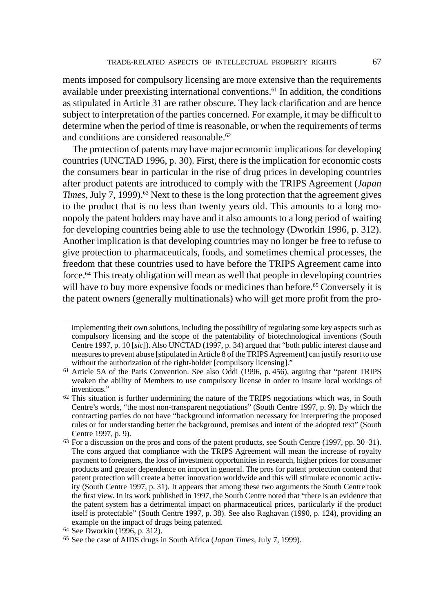ments imposed for compulsory licensing are more extensive than the requirements available under preexisting international conventions.61 In addition, the conditions as stipulated in Article 31 are rather obscure. They lack clarification and are hence subject to interpretation of the parties concerned. For example, it may be difficult to determine when the period of time is reasonable, or when the requirements of terms and conditions are considered reasonable.<sup>62</sup>

The protection of patents may have major economic implications for developing countries (UNCTAD 1996, p. 30). First, there is the implication for economic costs the consumers bear in particular in the rise of drug prices in developing countries after product patents are introduced to comply with the TRIPS Agreement (*Japan Times*, July 7, 1999).<sup>63</sup> Next to these is the long protection that the agreement gives to the product that is no less than twenty years old. This amounts to a long monopoly the patent holders may have and it also amounts to a long period of waiting for developing countries being able to use the technology (Dworkin 1996, p. 312). Another implication is that developing countries may no longer be free to refuse to give protection to pharmaceuticals, foods, and sometimes chemical processes, the freedom that these countries used to have before the TRIPS Agreement came into force.64 This treaty obligation will mean as well that people in developing countries will have to buy more expensive foods or medicines than before.<sup>65</sup> Conversely it is the patent owners (generally multinationals) who will get more profit from the pro-

<sup>––––––––––––––––––––––––––</sup> implementing their own solutions, including the possibility of regulating some key aspects such as compulsory licensing and the scope of the patentability of biotechnological inventions (South Centre 1997, p. 10 [*sic*]). Also UNCTAD (1997, p. 34) argued that "both public interest clause and measures to prevent abuse [stipulated in Article 8 of the TRIPS Agreement] can justify resort to use without the authorization of the right-holder [compulsory licensing]."

<sup>61</sup> Article 5A of the Paris Convention. See also Oddi (1996, p. 456), arguing that "patent TRIPS weaken the ability of Members to use compulsory license in order to insure local workings of inventions."

<sup>62</sup> This situation is further undermining the nature of the TRIPS negotiations which was, in South Centre's words, "the most non-transparent negotiations" (South Centre 1997, p. 9). By which the contracting parties do not have "background information necessary for interpreting the proposed rules or for understanding better the background, premises and intent of the adopted text" (South Centre 1997, p. 9).

<sup>63</sup> For a discussion on the pros and cons of the patent products, see South Centre (1997, pp. 30–31). The cons argued that compliance with the TRIPS Agreement will mean the increase of royalty payment to foreigners, the loss of investment opportunities in research, higher prices for consumer products and greater dependence on import in general. The pros for patent protection contend that patent protection will create a better innovation worldwide and this will stimulate economic activity (South Centre 1997, p. 31). It appears that among these two arguments the South Centre took the first view. In its work published in 1997, the South Centre noted that "there is an evidence that the patent system has a detrimental impact on pharmaceutical prices, particularly if the product itself is protectable" (South Centre 1997, p. 38). See also Raghavan (1990, p. 124), providing an example on the impact of drugs being patented.

<sup>64</sup> See Dworkin (1996, p. 312).

<sup>65</sup> See the case of AIDS drugs in South Africa (*Japan Times*, July 7, 1999).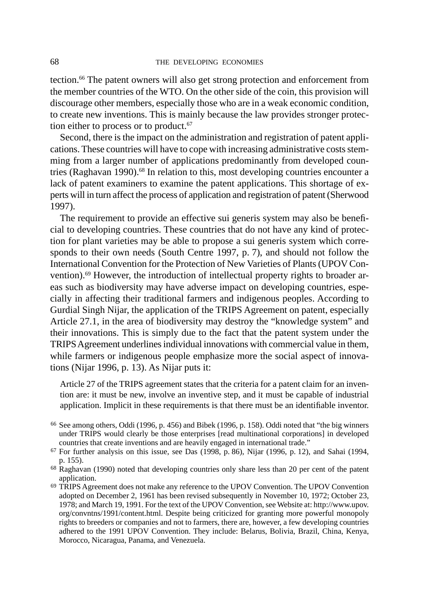tection.66 The patent owners will also get strong protection and enforcement from the member countries of the WTO. On the other side of the coin, this provision will discourage other members, especially those who are in a weak economic condition, to create new inventions. This is mainly because the law provides stronger protection either to process or to product.<sup>67</sup>

Second, there is the impact on the administration and registration of patent applications. These countries will have to cope with increasing administrative costs stemming from a larger number of applications predominantly from developed countries (Raghavan 1990).<sup>68</sup> In relation to this, most developing countries encounter a lack of patent examiners to examine the patent applications. This shortage of experts will in turn affect the process of application and registration of patent (Sherwood 1997).

The requirement to provide an effective sui generis system may also be beneficial to developing countries. These countries that do not have any kind of protection for plant varieties may be able to propose a sui generis system which corresponds to their own needs (South Centre 1997, p. 7), and should not follow the International Convention for the Protection of New Varieties of Plants (UPOV Convention).69 However, the introduction of intellectual property rights to broader areas such as biodiversity may have adverse impact on developing countries, especially in affecting their traditional farmers and indigenous peoples. According to Gurdial Singh Nijar, the application of the TRIPS Agreement on patent, especially Article 27.1, in the area of biodiversity may destroy the "knowledge system" and their innovations. This is simply due to the fact that the patent system under the TRIPS Agreement underlines individual innovations with commercial value in them, while farmers or indigenous people emphasize more the social aspect of innovations (Nijar 1996, p. 13). As Nijar puts it:

Article 27 of the TRIPS agreement states that the criteria for a patent claim for an invention are: it must be new, involve an inventive step, and it must be capable of industrial application. Implicit in these requirements is that there must be an identifiable inventor.

<sup>66</sup> See among others, Oddi (1996, p. 456) and Bibek (1996, p. 158). Oddi noted that "the big winners under TRIPS would clearly be those enterprises [read multinational corporations] in developed countries that create inventions and are heavily engaged in international trade."

 $67$  For further analysis on this issue, see Das (1998, p. 86), Nijar (1996, p. 12), and Sahai (1994, p. 155).

<sup>68</sup> Raghavan (1990) noted that developing countries only share less than 20 per cent of the patent application.

<sup>69</sup> TRIPS Agreement does not make any reference to the UPOV Convention. The UPOV Convention adopted on December 2, 1961 has been revised subsequently in November 10, 1972; October 23, 1978; and March 19, 1991. For the text of the UPOV Convention, see Website at: http://www.upov. org/convntns/1991/content.html. Despite being criticized for granting more powerful monopoly rights to breeders or companies and not to farmers, there are, however, a few developing countries adhered to the 1991 UPOV Convention. They include: Belarus, Bolivia, Brazil, China, Kenya, Morocco, Nicaragua, Panama, and Venezuela.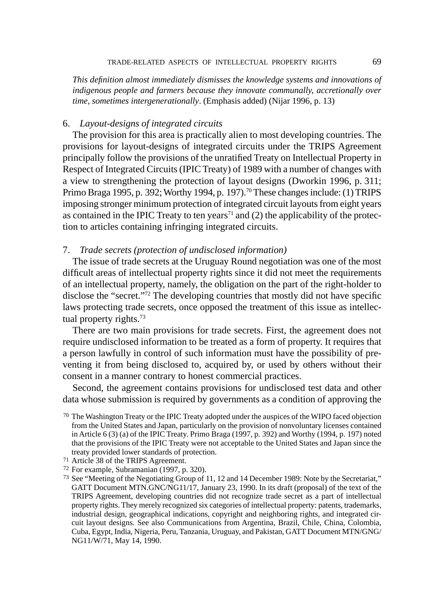*This definition almost immediately dismisses the knowledge systems and innovations of indigenous people and farmers because they innovate communally, accretionally over time, sometimes intergenerationally*. (Emphasis added) (Nijar 1996, p. 13)

## 6. *Layout-designs of integrated circuits*

The provision for this area is practically alien to most developing countries. The provisions for layout-designs of integrated circuits under the TRIPS Agreement principally follow the provisions of the unratified Treaty on Intellectual Property in Respect of Integrated Circuits (IPIC Treaty) of 1989 with a number of changes with a view to strengthening the protection of layout designs (Dworkin 1996, p. 311; Primo Braga 1995, p. 392; Worthy 1994, p. 197).<sup>70</sup> These changes include: (1) TRIPS imposing stronger minimum protection of integrated circuit layouts from eight years as contained in the IPIC Treaty to ten years<sup> $71$ </sup> and (2) the applicability of the protection to articles containing infringing integrated circuits.

#### 7. *Trade secrets (protection of undisclosed information)*

The issue of trade secrets at the Uruguay Round negotiation was one of the most difficult areas of intellectual property rights since it did not meet the requirements of an intellectual property, namely, the obligation on the part of the right-holder to disclose the "secret."72 The developing countries that mostly did not have specific laws protecting trade secrets, once opposed the treatment of this issue as intellectual property rights.73

There are two main provisions for trade secrets. First, the agreement does not require undisclosed information to be treated as a form of property. It requires that a person lawfully in control of such information must have the possibility of preventing it from being disclosed to, acquired by, or used by others without their consent in a manner contrary to honest commercial practices.

Second, the agreement contains provisions for undisclosed test data and other data whose submission is required by governments as a condition of approving the

<sup>72</sup> For example, Subramanian (1997, p. 320).

<sup>70</sup> The Washington Treaty or the IPIC Treaty adopted under the auspices of the WIPO faced objection from the United States and Japan, particularly on the provision of nonvoluntary licenses contained in Article 6 (3) (a) of the IPIC Treaty. Primo Braga (1997, p. 392) and Worthy (1994, p. 197) noted that the provisions of the IPIC Treaty were not acceptable to the United States and Japan since the treaty provided lower standards of protection.

<sup>71</sup> Article 38 of the TRIPS Agreement.

<sup>73</sup> See "Meeting of the Negotiating Group of 11, 12 and 14 December 1989: Note by the Secretariat," GATT Document MTN.GNC/NG11/17, January 23, 1990. In its draft (proposal) of the text of the TRIPS Agreement, developing countries did not recognize trade secret as a part of intellectual property rights. They merely recognized six categories of intellectual property: patents, trademarks, industrial design, geographical indications, copyright and neighboring rights, and integrated circuit layout designs. See also Communications from Argentina, Brazil, Chile, China, Colombia, Cuba, Egypt, India, Nigeria, Peru, Tanzania, Uruguay, and Pakistan, GATT Document MTN/GNG/ NG11/W/71, May 14, 1990.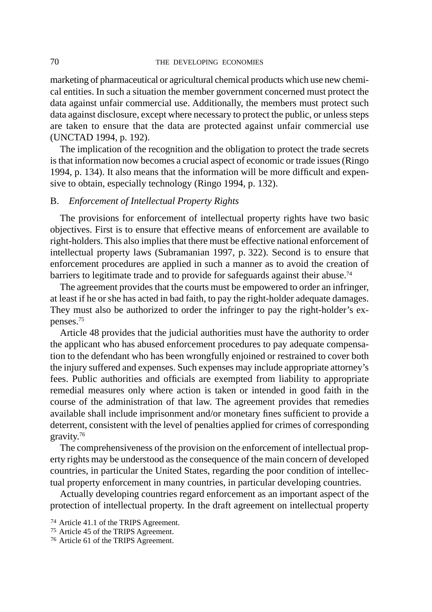marketing of pharmaceutical or agricultural chemical products which use new chemical entities. In such a situation the member government concerned must protect the data against unfair commercial use. Additionally, the members must protect such data against disclosure, except where necessary to protect the public, or unless steps are taken to ensure that the data are protected against unfair commercial use (UNCTAD 1994, p. 192).

The implication of the recognition and the obligation to protect the trade secrets is that information now becomes a crucial aspect of economic or trade issues (Ringo 1994, p. 134). It also means that the information will be more difficult and expensive to obtain, especially technology (Ringo 1994, p. 132).

## B. *Enforcement of Intellectual Property Rights*

The provisions for enforcement of intellectual property rights have two basic objectives. First is to ensure that effective means of enforcement are available to right-holders. This also implies that there must be effective national enforcement of intellectual property laws (Subramanian 1997, p. 322). Second is to ensure that enforcement procedures are applied in such a manner as to avoid the creation of barriers to legitimate trade and to provide for safeguards against their abuse.<sup>74</sup>

The agreement provides that the courts must be empowered to order an infringer, at least if he or she has acted in bad faith, to pay the right-holder adequate damages. They must also be authorized to order the infringer to pay the right-holder's expenses.75

Article 48 provides that the judicial authorities must have the authority to order the applicant who has abused enforcement procedures to pay adequate compensation to the defendant who has been wrongfully enjoined or restrained to cover both the injury suffered and expenses. Such expenses may include appropriate attorney's fees. Public authorities and officials are exempted from liability to appropriate remedial measures only where action is taken or intended in good faith in the course of the administration of that law. The agreement provides that remedies available shall include imprisonment and/or monetary fines sufficient to provide a deterrent, consistent with the level of penalties applied for crimes of corresponding gravity.76

The comprehensiveness of the provision on the enforcement of intellectual property rights may be understood as the consequence of the main concern of developed countries, in particular the United States, regarding the poor condition of intellectual property enforcement in many countries, in particular developing countries.

Actually developing countries regard enforcement as an important aspect of the protection of intellectual property. In the draft agreement on intellectual property

<sup>74</sup> Article 41.1 of the TRIPS Agreement.

<sup>75</sup> Article 45 of the TRIPS Agreement.

<sup>76</sup> Article 61 of the TRIPS Agreement.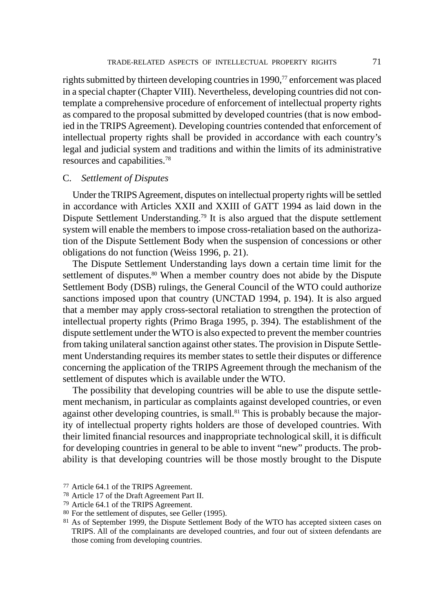rights submitted by thirteen developing countries in 1990,77 enforcement was placed in a special chapter (Chapter VIII). Nevertheless, developing countries did not contemplate a comprehensive procedure of enforcement of intellectual property rights as compared to the proposal submitted by developed countries (that is now embodied in the TRIPS Agreement). Developing countries contended that enforcement of intellectual property rights shall be provided in accordance with each country's legal and judicial system and traditions and within the limits of its administrative resources and capabilities.78

## C. *Settlement of Disputes*

Under the TRIPS Agreement, disputes on intellectual property rights will be settled in accordance with Articles XXII and XXIII of GATT 1994 as laid down in the Dispute Settlement Understanding.<sup>79</sup> It is also argued that the dispute settlement system will enable the members to impose cross-retaliation based on the authorization of the Dispute Settlement Body when the suspension of concessions or other obligations do not function (Weiss 1996, p. 21).

The Dispute Settlement Understanding lays down a certain time limit for the settlement of disputes.<sup>80</sup> When a member country does not abide by the Dispute Settlement Body (DSB) rulings, the General Council of the WTO could authorize sanctions imposed upon that country (UNCTAD 1994, p. 194). It is also argued that a member may apply cross-sectoral retaliation to strengthen the protection of intellectual property rights (Primo Braga 1995, p. 394). The establishment of the dispute settlement under the WTO is also expected to prevent the member countries from taking unilateral sanction against other states. The provision in Dispute Settlement Understanding requires its member states to settle their disputes or difference concerning the application of the TRIPS Agreement through the mechanism of the settlement of disputes which is available under the WTO.

The possibility that developing countries will be able to use the dispute settlement mechanism, in particular as complaints against developed countries, or even against other developing countries, is small.<sup>81</sup> This is probably because the majority of intellectual property rights holders are those of developed countries. With their limited financial resources and inappropriate technological skill, it is difficult for developing countries in general to be able to invent "new" products. The probability is that developing countries will be those mostly brought to the Dispute

<sup>77</sup> Article 64.1 of the TRIPS Agreement.

<sup>78</sup> Article 17 of the Draft Agreement Part II.

<sup>79</sup> Article 64.1 of the TRIPS Agreement.

<sup>80</sup> For the settlement of disputes, see Geller (1995).

<sup>81</sup> As of September 1999, the Dispute Settlement Body of the WTO has accepted sixteen cases on TRIPS. All of the complainants are developed countries, and four out of sixteen defendants are those coming from developing countries.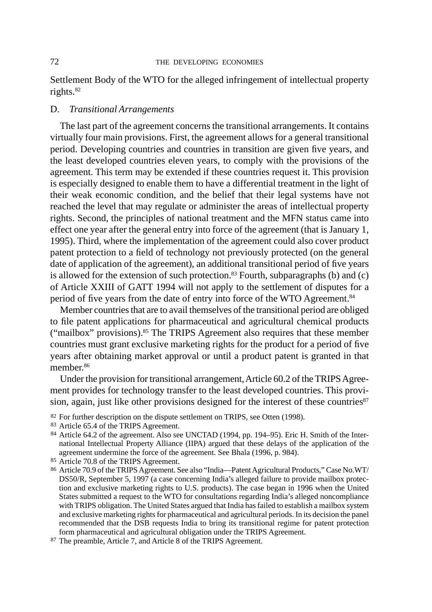Settlement Body of the WTO for the alleged infringement of intellectual property rights.82

### D. *Transitional Arrangements*

The last part of the agreement concerns the transitional arrangements. It contains virtually four main provisions. First, the agreement allows for a general transitional period. Developing countries and countries in transition are given five years, and the least developed countries eleven years, to comply with the provisions of the agreement. This term may be extended if these countries request it. This provision is especially designed to enable them to have a differential treatment in the light of their weak economic condition, and the belief that their legal systems have not reached the level that may regulate or administer the areas of intellectual property rights. Second, the principles of national treatment and the MFN status came into effect one year after the general entry into force of the agreement (that is January 1, 1995). Third, where the implementation of the agreement could also cover product patent protection to a field of technology not previously protected (on the general date of application of the agreement), an additional transitional period of five years is allowed for the extension of such protection.<sup>83</sup> Fourth, subparagraphs (b) and (c) of Article XXIII of GATT 1994 will not apply to the settlement of disputes for a period of five years from the date of entry into force of the WTO Agreement.<sup>84</sup>

Member countries that are to avail themselves of the transitional period are obliged to file patent applications for pharmaceutical and agricultural chemical products ("mailbox" provisions).<sup>85</sup> The TRIPS Agreement also requires that these member countries must grant exclusive marketing rights for the product for a period of five years after obtaining market approval or until a product patent is granted in that member.<sup>86</sup>

Under the provision for transitional arrangement, Article 60.2 of the TRIPS Agreement provides for technology transfer to the least developed countries. This provision, again, just like other provisions designed for the interest of these countries $87$ 

- 82 For further description on the dispute settlement on TRIPS, see Otten (1998).
- 83 Article 65.4 of the TRIPS Agreement.
- <sup>84</sup> Article 64.2 of the agreement. Also see UNCTAD (1994, pp. 194–95). Eric H. Smith of the International Intellectual Property Alliance (IIPA) argued that these delays of the application of the agreement undermine the force of the agreement. See Bhala (1996, p. 984).
- <sup>85</sup> Article 70.8 of the TRIPS Agreement.
- 86 Article 70.9 of the TRIPS Agreement. See also "India—Patent Agricultural Products," Case No.WT/ DS50/R, September 5, 1997 (a case concerning India's alleged failure to provide mailbox protection and exclusive marketing rights to U.S. products). The case began in 1996 when the United States submitted a request to the WTO for consultations regarding India's alleged noncompliance with TRIPS obligation. The United States argued that India has failed to establish a mailbox system and exclusive marketing rights for pharmaceutical and agricultural periods. In its decision the panel recommended that the DSB requests India to bring its transitional regime for patent protection form pharmaceutical and agricultural obligation under the TRIPS Agreement.

<sup>87</sup> The preamble, Article 7, and Article 8 of the TRIPS Agreement.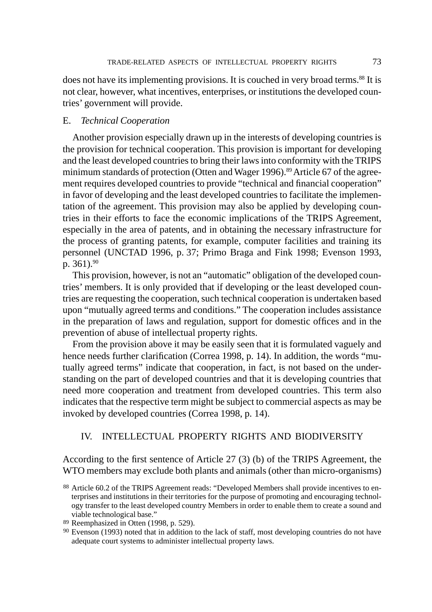does not have its implementing provisions. It is couched in very broad terms.<sup>88</sup> It is not clear, however, what incentives, enterprises, or institutions the developed countries' government will provide.

## E. *Technical Cooperation*

Another provision especially drawn up in the interests of developing countries is the provision for technical cooperation. This provision is important for developing and the least developed countries to bring their laws into conformity with the TRIPS minimum standards of protection (Otten and Wager 1996).<sup>89</sup> Article 67 of the agreement requires developed countries to provide "technical and financial cooperation" in favor of developing and the least developed countries to facilitate the implementation of the agreement. This provision may also be applied by developing countries in their efforts to face the economic implications of the TRIPS Agreement, especially in the area of patents, and in obtaining the necessary infrastructure for the process of granting patents, for example, computer facilities and training its personnel (UNCTAD 1996, p. 37; Primo Braga and Fink 1998; Evenson 1993, p.  $361$ ).<sup>90</sup>

This provision, however, is not an "automatic" obligation of the developed countries' members. It is only provided that if developing or the least developed countries are requesting the cooperation, such technical cooperation is undertaken based upon "mutually agreed terms and conditions." The cooperation includes assistance in the preparation of laws and regulation, support for domestic offices and in the prevention of abuse of intellectual property rights.

From the provision above it may be easily seen that it is formulated vaguely and hence needs further clarification (Correa 1998, p. 14). In addition, the words "mutually agreed terms" indicate that cooperation, in fact, is not based on the understanding on the part of developed countries and that it is developing countries that need more cooperation and treatment from developed countries. This term also indicates that the respective term might be subject to commercial aspects as may be invoked by developed countries (Correa 1998, p. 14).

## IV. INTELLECTUAL PROPERTY RIGHTS AND BIODIVERSITY

According to the first sentence of Article 27 (3) (b) of the TRIPS Agreement, the WTO members may exclude both plants and animals (other than micro-organisms)

<sup>88</sup> Article 60.2 of the TRIPS Agreement reads: "Developed Members shall provide incentives to enterprises and institutions in their territories for the purpose of promoting and encouraging technology transfer to the least developed country Members in order to enable them to create a sound and viable technological base."

<sup>89</sup> Reemphasized in Otten (1998, p. 529).

<sup>90</sup> Evenson (1993) noted that in addition to the lack of staff, most developing countries do not have adequate court systems to administer intellectual property laws.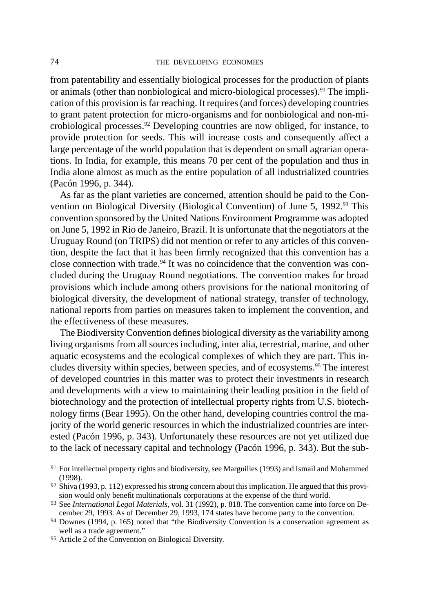from patentability and essentially biological processes for the production of plants or animals (other than nonbiological and micro-biological processes).91 The implication of this provision is far reaching. It requires (and forces) developing countries to grant patent protection for micro-organisms and for nonbiological and non-microbiological processes.92 Developing countries are now obliged, for instance, to provide protection for seeds. This will increase costs and consequently affect a large percentage of the world population that is dependent on small agrarian operations. In India, for example, this means 70 per cent of the population and thus in India alone almost as much as the entire population of all industrialized countries (Pacón 1996, p. 344).

As far as the plant varieties are concerned, attention should be paid to the Convention on Biological Diversity (Biological Convention) of June 5, 1992.<sup>93</sup> This convention sponsored by the United Nations Environment Programme was adopted on June 5, 1992 in Rio de Janeiro, Brazil. It is unfortunate that the negotiators at the Uruguay Round (on TRIPS) did not mention or refer to any articles of this convention, despite the fact that it has been firmly recognized that this convention has a close connection with trade.94 It was no coincidence that the convention was concluded during the Uruguay Round negotiations. The convention makes for broad provisions which include among others provisions for the national monitoring of biological diversity, the development of national strategy, transfer of technology, national reports from parties on measures taken to implement the convention, and the effectiveness of these measures.

The Biodiversity Convention defines biological diversity as the variability among living organisms from all sources including, inter alia, terrestrial, marine, and other aquatic ecosystems and the ecological complexes of which they are part. This includes diversity within species, between species, and of ecosystems.95 The interest of developed countries in this matter was to protect their investments in research and developments with a view to maintaining their leading position in the field of biotechnology and the protection of intellectual property rights from U.S. biotechnology firms (Bear 1995). On the other hand, developing countries control the majority of the world generic resources in which the industrialized countries are interested (Pacón 1996, p. 343). Unfortunately these resources are not yet utilized due to the lack of necessary capital and technology (Pacón 1996, p. 343). But the sub-

<sup>91</sup> For intellectual property rights and biodiversity, see Marguilies (1993) and Ismail and Mohammed (1998).

<sup>92</sup> Shiva (1993, p. 112) expressed his strong concern about this implication. He argued that this provision would only benefit multinationals corporations at the expense of the third world.

<sup>93</sup> See *International Legal Materials*, vol. 31 (1992), p. 818. The convention came into force on December 29, 1993. As of December 29, 1993, 174 states have become party to the convention.

<sup>94</sup> Downes (1994, p. 165) noted that "the Biodiversity Convention is a conservation agreement as well as a trade agreement."

<sup>95</sup> Article 2 of the Convention on Biological Diversity.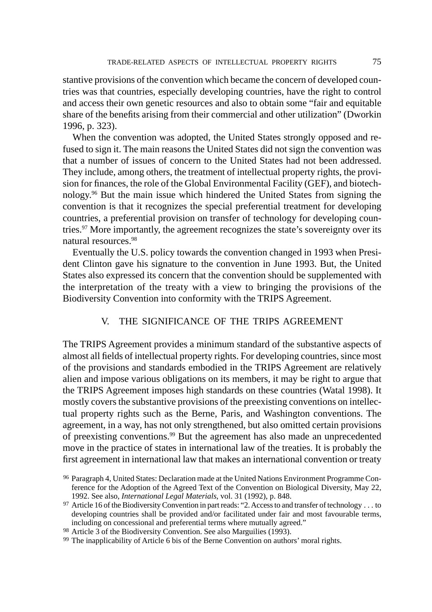stantive provisions of the convention which became the concern of developed countries was that countries, especially developing countries, have the right to control and access their own genetic resources and also to obtain some "fair and equitable share of the benefits arising from their commercial and other utilization" (Dworkin 1996, p. 323).

When the convention was adopted, the United States strongly opposed and refused to sign it. The main reasons the United States did not sign the convention was that a number of issues of concern to the United States had not been addressed. They include, among others, the treatment of intellectual property rights, the provision for finances, the role of the Global Environmental Facility (GEF), and biotechnology.96 But the main issue which hindered the United States from signing the convention is that it recognizes the special preferential treatment for developing countries, a preferential provision on transfer of technology for developing countries.<sup>97</sup> More importantly, the agreement recognizes the state's sovereignty over its natural resources.98

Eventually the U.S. policy towards the convention changed in 1993 when President Clinton gave his signature to the convention in June 1993. But, the United States also expressed its concern that the convention should be supplemented with the interpretation of the treaty with a view to bringing the provisions of the Biodiversity Convention into conformity with the TRIPS Agreement.

## V. THE SIGNIFICANCE OF THE TRIPS AGREEMENT

The TRIPS Agreement provides a minimum standard of the substantive aspects of almost all fields of intellectual property rights. For developing countries, since most of the provisions and standards embodied in the TRIPS Agreement are relatively alien and impose various obligations on its members, it may be right to argue that the TRIPS Agreement imposes high standards on these countries (Watal 1998). It mostly covers the substantive provisions of the preexisting conventions on intellectual property rights such as the Berne, Paris, and Washington conventions. The agreement, in a way, has not only strengthened, but also omitted certain provisions of preexisting conventions.99 But the agreement has also made an unprecedented move in the practice of states in international law of the treaties. It is probably the first agreement in international law that makes an international convention or treaty

<sup>96</sup> Paragraph 4, United States: Declaration made at the United Nations Environment Programme Conference for the Adoption of the Agreed Text of the Convention on Biological Diversity, May 22, 1992. See also, *International Legal Materials*, vol. 31 (1992), p. 848.

<sup>97</sup> Article 16 of the Biodiversity Convention in part reads: "2. Access to and transfer of technology . . . to developing countries shall be provided and/or facilitated under fair and most favourable terms, including on concessional and preferential terms where mutually agreed."

<sup>98</sup> Article 3 of the Biodiversity Convention. See also Marguilies (1993).

<sup>99</sup> The inapplicability of Article 6 bis of the Berne Convention on authors' moral rights.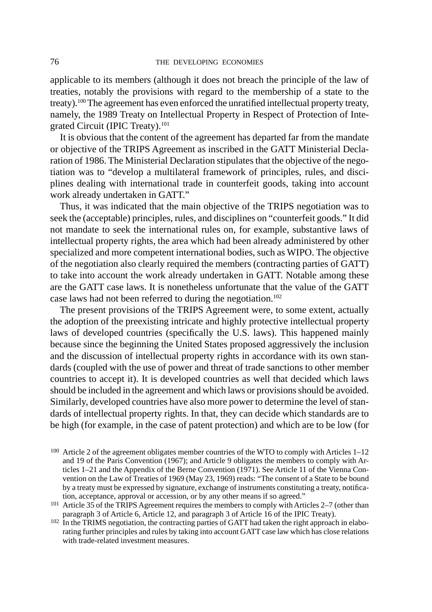applicable to its members (although it does not breach the principle of the law of treaties, notably the provisions with regard to the membership of a state to the treaty).100 The agreement has even enforced the unratified intellectual property treaty, namely, the 1989 Treaty on Intellectual Property in Respect of Protection of Integrated Circuit (IPIC Treaty).<sup>101</sup>

It is obvious that the content of the agreement has departed far from the mandate or objective of the TRIPS Agreement as inscribed in the GATT Ministerial Declaration of 1986. The Ministerial Declaration stipulates that the objective of the negotiation was to "develop a multilateral framework of principles, rules, and disciplines dealing with international trade in counterfeit goods, taking into account work already undertaken in GATT."

Thus, it was indicated that the main objective of the TRIPS negotiation was to seek the (acceptable) principles, rules, and disciplines on "counterfeit goods." It did not mandate to seek the international rules on, for example, substantive laws of intellectual property rights, the area which had been already administered by other specialized and more competent international bodies, such as WIPO. The objective of the negotiation also clearly required the members (contracting parties of GATT) to take into account the work already undertaken in GATT. Notable among these are the GATT case laws. It is nonetheless unfortunate that the value of the GATT case laws had not been referred to during the negotiation.<sup>102</sup>

The present provisions of the TRIPS Agreement were, to some extent, actually the adoption of the preexisting intricate and highly protective intellectual property laws of developed countries (specifically the U.S. laws). This happened mainly because since the beginning the United States proposed aggressively the inclusion and the discussion of intellectual property rights in accordance with its own standards (coupled with the use of power and threat of trade sanctions to other member countries to accept it). It is developed countries as well that decided which laws should be included in the agreement and which laws or provisions should be avoided. Similarly, developed countries have also more power to determine the level of standards of intellectual property rights. In that, they can decide which standards are to be high (for example, in the case of patent protection) and which are to be low (for

<sup>100</sup> Article 2 of the agreement obligates member countries of the WTO to comply with Articles 1–12 and 19 of the Paris Convention (1967); and Article 9 obligates the members to comply with Articles 1–21 and the Appendix of the Berne Convention (1971). See Article 11 of the Vienna Convention on the Law of Treaties of 1969 (May 23, 1969) reads: "The consent of a State to be bound by a treaty must be expressed by signature, exchange of instruments constituting a treaty, notification, acceptance, approval or accession, or by any other means if so agreed."

<sup>101</sup> Article 35 of the TRIPS Agreement requires the members to comply with Articles 2–7 (other than paragraph 3 of Article 6, Article 12, and paragraph 3 of Article 16 of the IPIC Treaty).

<sup>&</sup>lt;sup>102</sup> In the TRIMS negotiation, the contracting parties of GATT had taken the right approach in elaborating further principles and rules by taking into account GATT case law which has close relations with trade-related investment measures.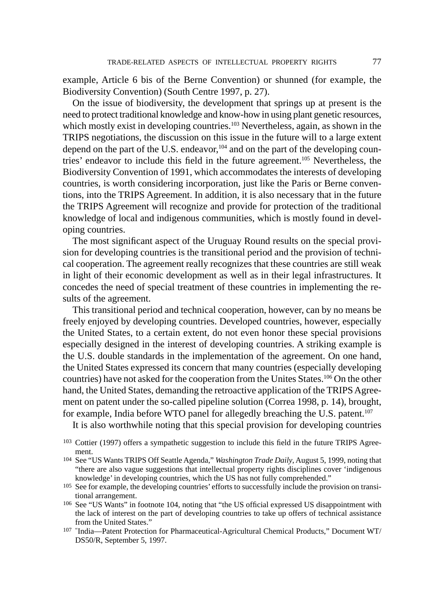example, Article 6 bis of the Berne Convention) or shunned (for example, the Biodiversity Convention) (South Centre 1997, p. 27).

On the issue of biodiversity, the development that springs up at present is the need to protect traditional knowledge and know-how in using plant genetic resources, which mostly exist in developing countries.<sup>103</sup> Nevertheless, again, as shown in the TRIPS negotiations, the discussion on this issue in the future will to a large extent depend on the part of the U.S. endeavor,<sup>104</sup> and on the part of the developing countries' endeavor to include this field in the future agreement.105 Nevertheless, the Biodiversity Convention of 1991, which accommodates the interests of developing countries, is worth considering incorporation, just like the Paris or Berne conventions, into the TRIPS Agreement. In addition, it is also necessary that in the future the TRIPS Agreement will recognize and provide for protection of the traditional knowledge of local and indigenous communities, which is mostly found in developing countries.

The most significant aspect of the Uruguay Round results on the special provision for developing countries is the transitional period and the provision of technical cooperation. The agreement really recognizes that these countries are still weak in light of their economic development as well as in their legal infrastructures. It concedes the need of special treatment of these countries in implementing the results of the agreement.

This transitional period and technical cooperation, however, can by no means be freely enjoyed by developing countries. Developed countries, however, especially the United States, to a certain extent, do not even honor these special provisions especially designed in the interest of developing countries. A striking example is the U.S. double standards in the implementation of the agreement. On one hand, the United States expressed its concern that many countries (especially developing countries) have not asked for the cooperation from the Unites States.106 On the other hand, the United States, demanding the retroactive application of the TRIPS Agreement on patent under the so-called pipeline solution (Correa 1998, p. 14), brought, for example, India before WTO panel for allegedly breaching the U.S. patent.<sup>107</sup>

It is also worthwhile noting that this special provision for developing countries

- <sup>104</sup> See "US Wants TRIPS Off Seattle Agenda," *Washington Trade Daily*, August 5, 1999, noting that "there are also vague suggestions that intellectual property rights disciplines cover 'indigenous knowledge' in developing countries, which the US has not fully comprehended."
- <sup>105</sup> See for example, the developing countries' efforts to successfully include the provision on transitional arrangement.
- 106 See "US Wants" in footnote 104, noting that "the US official expressed US disappointment with the lack of interest on the part of developing countries to take up offers of technical assistance from the United States."
- 107 "India—Patent Protection for Pharmaceutical-Agricultural Chemical Products," Document WT/ DS50/R, September 5, 1997.

<sup>103</sup> Cottier (1997) offers a sympathetic suggestion to include this field in the future TRIPS Agreement.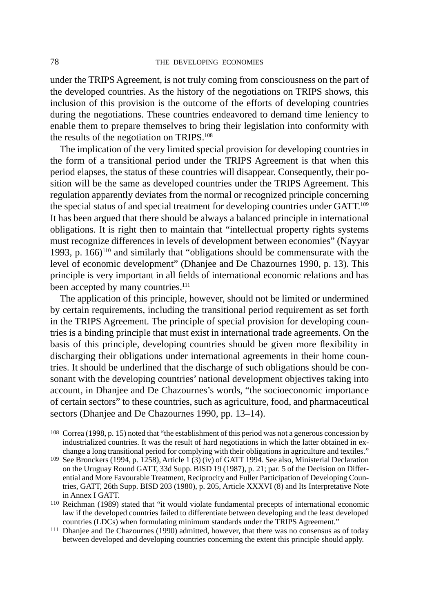under the TRIPS Agreement, is not truly coming from consciousness on the part of the developed countries. As the history of the negotiations on TRIPS shows, this inclusion of this provision is the outcome of the efforts of developing countries during the negotiations. These countries endeavored to demand time leniency to enable them to prepare themselves to bring their legislation into conformity with the results of the negotiation on TRIPS.108

The implication of the very limited special provision for developing countries in the form of a transitional period under the TRIPS Agreement is that when this period elapses, the status of these countries will disappear. Consequently, their position will be the same as developed countries under the TRIPS Agreement. This regulation apparently deviates from the normal or recognized principle concerning the special status of and special treatment for developing countries under GATT.109 It has been argued that there should be always a balanced principle in international obligations. It is right then to maintain that "intellectual property rights systems must recognize differences in levels of development between economies" (Nayyar 1993, p.  $166$ <sup> $110$ </sup> and similarly that "obligations should be commensurate with the level of economic development" (Dhanjee and De Chazournes 1990, p. 13). This principle is very important in all fields of international economic relations and has been accepted by many countries.<sup>111</sup>

The application of this principle, however, should not be limited or undermined by certain requirements, including the transitional period requirement as set forth in the TRIPS Agreement. The principle of special provision for developing countries is a binding principle that must exist in international trade agreements. On the basis of this principle, developing countries should be given more flexibility in discharging their obligations under international agreements in their home countries. It should be underlined that the discharge of such obligations should be consonant with the developing countries' national development objectives taking into account, in Dhanjee and De Chazournes's words, "the socioeconomic importance of certain sectors" to these countries, such as agriculture, food, and pharmaceutical sectors (Dhanjee and De Chazournes 1990, pp. 13–14).

- 108 Correa (1998, p. 15) noted that "the establishment of this period was not a generous concession by industrialized countries. It was the result of hard negotiations in which the latter obtained in exchange a long transitional period for complying with their obligations in agriculture and textiles."
- 109 See Bronckers (1994, p. 1258), Article 1 (3) (iv) of GATT 1994. See also, Ministerial Declaration on the Uruguay Round GATT, 33d Supp. BISD 19 (1987), p. 21; par. 5 of the Decision on Differential and More Favourable Treatment, Reciprocity and Fuller Participation of Developing Countries, GATT, 26th Supp. BISD 203 (1980), p. 205, Article XXXVI (8) and Its Interpretative Note in Annex I GATT.
- <sup>110</sup> Reichman (1989) stated that "it would violate fundamental precepts of international economic law if the developed countries failed to differentiate between developing and the least developed countries (LDCs) when formulating minimum standards under the TRIPS Agreement."
- <sup>111</sup> Dhanjee and De Chazournes (1990) admitted, however, that there was no consensus as of today between developed and developing countries concerning the extent this principle should apply.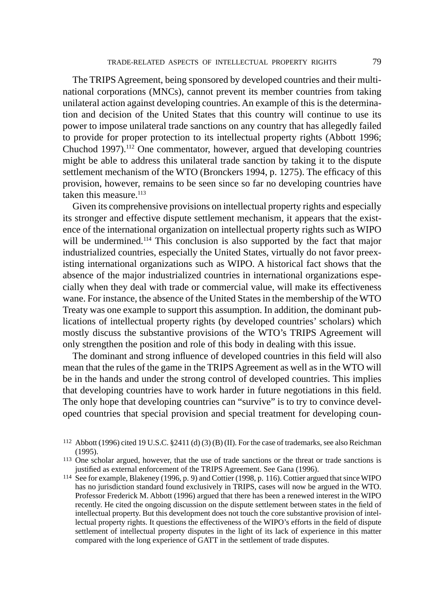The TRIPS Agreement, being sponsored by developed countries and their multinational corporations (MNCs), cannot prevent its member countries from taking unilateral action against developing countries. An example of this is the determination and decision of the United States that this country will continue to use its power to impose unilateral trade sanctions on any country that has allegedly failed to provide for proper protection to its intellectual property rights (Abbott 1996; Chuchod 1997).<sup>112</sup> One commentator, however, argued that developing countries might be able to address this unilateral trade sanction by taking it to the dispute settlement mechanism of the WTO (Bronckers 1994, p. 1275). The efficacy of this provision, however, remains to be seen since so far no developing countries have taken this measure.<sup>113</sup>

Given its comprehensive provisions on intellectual property rights and especially its stronger and effective dispute settlement mechanism, it appears that the existence of the international organization on intellectual property rights such as WIPO will be undermined.<sup>114</sup> This conclusion is also supported by the fact that major industrialized countries, especially the United States, virtually do not favor preexisting international organizations such as WIPO. A historical fact shows that the absence of the major industrialized countries in international organizations especially when they deal with trade or commercial value, will make its effectiveness wane. For instance, the absence of the United States in the membership of the WTO Treaty was one example to support this assumption. In addition, the dominant publications of intellectual property rights (by developed countries' scholars) which mostly discuss the substantive provisions of the WTO's TRIPS Agreement will only strengthen the position and role of this body in dealing with this issue.

The dominant and strong influence of developed countries in this field will also mean that the rules of the game in the TRIPS Agreement as well as in the WTO will be in the hands and under the strong control of developed countries. This implies that developing countries have to work harder in future negotiations in this field. The only hope that developing countries can "survive" is to try to convince developed countries that special provision and special treatment for developing coun-

<sup>112</sup> Abbott (1996) cited 19 U.S.C. §2411 (d) (3) (B) (II). For the case of trademarks, see also Reichman (1995).

<sup>&</sup>lt;sup>113</sup> One scholar argued, however, that the use of trade sanctions or the threat or trade sanctions is justified as external enforcement of the TRIPS Agreement. See Gana (1996).

<sup>114</sup> See for example, Blakeney (1996, p. 9) and Cottier (1998, p. 116). Cottier argued that since WIPO has no jurisdiction standard found exclusively in TRIPS, cases will now be argued in the WTO. Professor Frederick M. Abbott (1996) argued that there has been a renewed interest in the WIPO recently. He cited the ongoing discussion on the dispute settlement between states in the field of intellectual property. But this development does not touch the core substantive provision of intellectual property rights. It questions the effectiveness of the WIPO's efforts in the field of dispute settlement of intellectual property disputes in the light of its lack of experience in this matter compared with the long experience of GATT in the settlement of trade disputes.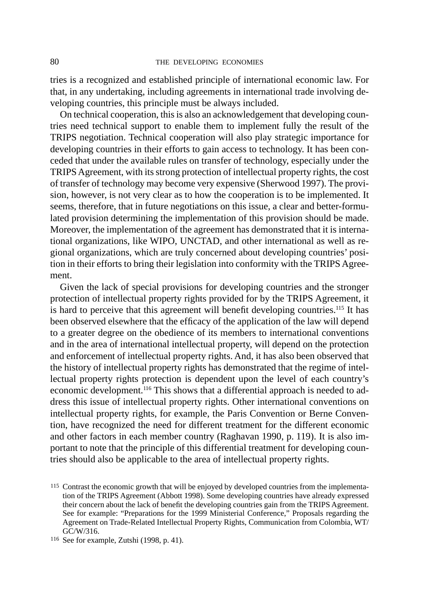tries is a recognized and established principle of international economic law. For that, in any undertaking, including agreements in international trade involving developing countries, this principle must be always included.

On technical cooperation, this is also an acknowledgement that developing countries need technical support to enable them to implement fully the result of the TRIPS negotiation. Technical cooperation will also play strategic importance for developing countries in their efforts to gain access to technology. It has been conceded that under the available rules on transfer of technology, especially under the TRIPS Agreement, with its strong protection of intellectual property rights, the cost of transfer of technology may become very expensive (Sherwood 1997). The provision, however, is not very clear as to how the cooperation is to be implemented. It seems, therefore, that in future negotiations on this issue, a clear and better-formulated provision determining the implementation of this provision should be made. Moreover, the implementation of the agreement has demonstrated that it is international organizations, like WIPO, UNCTAD, and other international as well as regional organizations, which are truly concerned about developing countries' position in their efforts to bring their legislation into conformity with the TRIPS Agreement.

Given the lack of special provisions for developing countries and the stronger protection of intellectual property rights provided for by the TRIPS Agreement, it is hard to perceive that this agreement will benefit developing countries.<sup>115</sup> It has been observed elsewhere that the efficacy of the application of the law will depend to a greater degree on the obedience of its members to international conventions and in the area of international intellectual property, will depend on the protection and enforcement of intellectual property rights. And, it has also been observed that the history of intellectual property rights has demonstrated that the regime of intellectual property rights protection is dependent upon the level of each country's economic development.<sup>116</sup> This shows that a differential approach is needed to address this issue of intellectual property rights. Other international conventions on intellectual property rights, for example, the Paris Convention or Berne Convention, have recognized the need for different treatment for the different economic and other factors in each member country (Raghavan 1990, p. 119). It is also important to note that the principle of this differential treatment for developing countries should also be applicable to the area of intellectual property rights.

<sup>115</sup> Contrast the economic growth that will be enjoyed by developed countries from the implementation of the TRIPS Agreement (Abbott 1998). Some developing countries have already expressed their concern about the lack of benefit the developing countries gain from the TRIPS Agreement. See for example: "Preparations for the 1999 Ministerial Conference," Proposals regarding the Agreement on Trade-Related Intellectual Property Rights, Communication from Colombia, WT/ GC/W/316.

<sup>116</sup> See for example, Zutshi (1998, p. 41).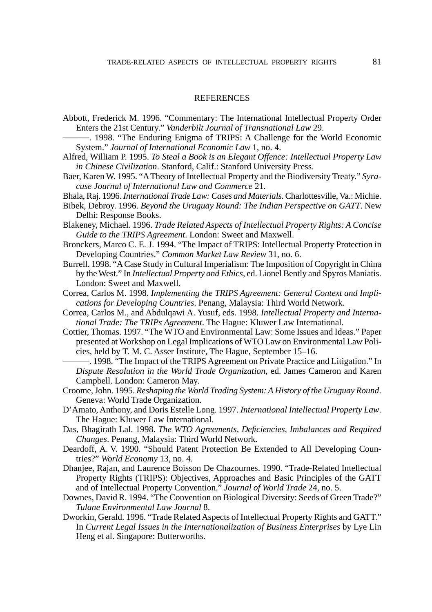#### REFERENCES

- Abbott, Frederick M. 1996. "Commentary: The International Intellectual Property Order Enters the 21st Century." *Vanderbilt Journal of Transnational Law* 29.
	- ———. 1998. "The Enduring Enigma of TRIPS: A Challenge for the World Economic System." *Journal of International Economic Law* 1, no. 4.
- Alfred, William P. 1995. *To Steal a Book is an Elegant Offence: Intellectual Property Law in Chinese Civilization*. Stanford, Calif.: Stanford University Press.
- Baer, Karen W. 1995. "A Theory of Intellectual Property and the Biodiversity Treaty." *Syracuse Journal of International Law and Commerce* 21.
- Bhala, Raj. 1996. *International Trade Law: Cases and Materials.* Charlottesville, Va.: Michie.
- Bibek, Debroy. 1996. *Beyond the Uruguay Round: The Indian Perspective on GATT*. New Delhi: Response Books.
- Blakeney, Michael. 1996. *Trade Related Aspects of Intellectual Property Rights: A Concise Guide to the TRIPS Agreement*. London: Sweet and Maxwell.
- Bronckers, Marco C. E. J. 1994. "The Impact of TRIPS: Intellectual Property Protection in Developing Countries." *Common Market Law Review* 31, no. 6.
- Burrell. 1998. "A Case Study in Cultural Imperialism: The Imposition of Copyright in China by the West." In *Intellectual Property and Ethics*, ed. Lionel Bently and Spyros Maniatis. London: Sweet and Maxwell.
- Correa, Carlos M. 1998. *Implementing the TRIPS Agreement: General Context and Implications for Developing Countries*. Penang, Malaysia: Third World Network.
- Correa, Carlos M., and Abdulqawi A. Yusuf, eds. 1998. *Intellectual Property and International Trade: The TRIPs Agreement*. The Hague: Kluwer Law International.
- Cottier, Thomas. 1997. "The WTO and Environmental Law: Some Issues and Ideas." Paper presented at Workshop on Legal Implications of WTO Law on Environmental Law Policies, held by T. M. C. Asser Institute, The Hague, September 15–16.

———. 1998. "The Impact of the TRIPS Agreement on Private Practice and Litigation." In *Dispute Resolution in the World Trade Organization*, ed. James Cameron and Karen Campbell. London: Cameron May.

- Croome, John. 1995. *Reshaping the World Trading System: A History of the Uruguay Round*. Geneva: World Trade Organization.
- D'Amato, Anthony, and Doris Estelle Long. 1997. *International Intellectual Property Law*. The Hague: Kluwer Law International.
- Das, Bhagirath Lal. 1998. *The WTO Agreements, Deficiencies, Imbalances and Required Changes*. Penang, Malaysia: Third World Network.
- Deardoff, A. V. 1990. "Should Patent Protection Be Extended to All Developing Countries?" *World Economy* 13, no. 4.
- Dhanjee, Rajan, and Laurence Boisson De Chazournes. 1990. "Trade-Related Intellectual Property Rights (TRIPS): Objectives, Approaches and Basic Principles of the GATT and of Intellectual Property Convention." *Journal of World Trade* 24, no. 5.
- Downes, David R. 1994. "The Convention on Biological Diversity: Seeds of Green Trade?" *Tulane Environmental Law Journal* 8.
- Dworkin, Gerald. 1996. "Trade Related Aspects of Intellectual Property Rights and GATT." In *Current Legal Issues in the Internationalization of Business Enterprises* by Lye Lin Heng et al. Singapore: Butterworths.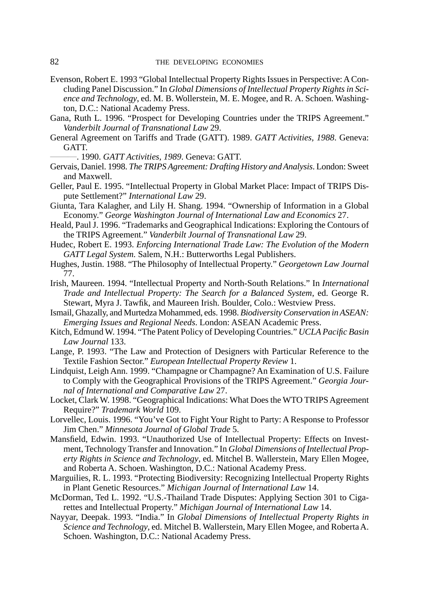- Evenson, Robert E. 1993 "Global Intellectual Property Rights Issues in Perspective: A Concluding Panel Discussion." In *Global Dimensions of Intellectual Property Rights in Science and Technology*, ed. M. B. Wollerstein, M. E. Mogee, and R. A. Schoen. Washington, D.C.: National Academy Press.
- Gana, Ruth L. 1996. "Prospect for Developing Countries under the TRIPS Agreement." *Vanderbilt Journal of Transnational Law* 29.
- General Agreement on Tariffs and Trade (GATT). 1989. *GATT Activities, 1988*. Geneva: GATT.
	- ———. 1990. *GATT Activities, 1989*. Geneva: GATT.
- Gervais, Daniel. 1998. *The TRIPS Agreement: Drafting History and Analysis*. London: Sweet and Maxwell.
- Geller, Paul E. 1995. "Intellectual Property in Global Market Place: Impact of TRIPS Dispute Settlement?" *International Law* 29.
- Giunta, Tara Kalagher, and Lily H. Shang. 1994. "Ownership of Information in a Global Economy." *George Washington Journal of International Law and Economics* 27.
- Heald, Paul J. 1996. "Trademarks and Geographical Indications: Exploring the Contours of the TRIPS Agreement." *Vanderbilt Journal of Transnational Law* 29.
- Hudec, Robert E. 1993. *Enforcing International Trade Law: The Evolution of the Modern GATT Legal System.* Salem, N.H.: Butterworths Legal Publishers.
- Hughes, Justin. 1988. "The Philosophy of Intellectual Property." *Georgetown Law Journal* 77.
- Irish, Maureen. 1994. "Intellectual Property and North-South Relations." In *International Trade and Intellectual Property: The Search for a Balanced System*, ed. George R. Stewart, Myra J. Tawfik, and Maureen Irish. Boulder, Colo.: Westview Press.
- Ismail, Ghazally, and Murtedza Mohammed, eds. 1998. *Biodiversity Conservation in ASEAN: Emerging Issues and Regional Needs*. London: ASEAN Academic Press.
- Kitch, Edmund W. 1994. "The Patent Policy of Developing Countries." *UCLA Pacific Basin Law Journal* 133.
- Lange, P. 1993. "The Law and Protection of Designers with Particular Reference to the Textile Fashion Sector." *European Intellectual Property Review* 1.
- Lindquist, Leigh Ann. 1999. "Champagne or Champagne? An Examination of U.S. Failure to Comply with the Geographical Provisions of the TRIPS Agreement." *Georgia Journal of International and Comparative Law* 27.
- Locket, Clark W. 1998. "Geographical Indications: What Does the WTO TRIPS Agreement Require?" *Trademark World* 109.
- Lorvellec, Louis. 1996. "You've Got to Fight Your Right to Party: A Response to Professor Jim Chen." *Minnesota Journal of Global Trade* 5.
- Mansfield, Edwin. 1993. "Unauthorized Use of Intellectual Property: Effects on Investment, Technology Transfer and Innovation." In *Global Dimensions of Intellectual Property Rights in Science and Technology*, ed. Mitchel B. Wallerstein, Mary Ellen Mogee, and Roberta A. Schoen. Washington, D.C.: National Academy Press.
- Marguilies, R. L. 1993. "Protecting Biodiversity: Recognizing Intellectual Property Rights in Plant Genetic Resources." *Michigan Journal of International Law* 14.
- McDorman, Ted L. 1992. "U.S.-Thailand Trade Disputes: Applying Section 301 to Cigarettes and Intellectual Property." *Michigan Journal of International Law* 14.
- Nayyar, Deepak. 1993. "India." In *Global Dimensions of Intellectual Property Rights in Science and Technology*, ed. Mitchel B. Wallerstein, Mary Ellen Mogee, and Roberta A. Schoen. Washington, D.C.: National Academy Press.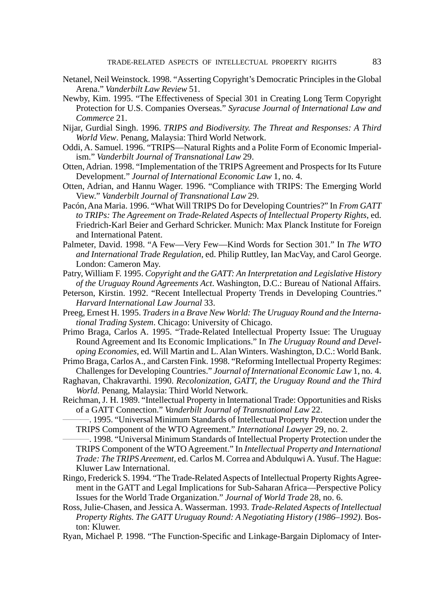- Netanel, Neil Weinstock. 1998. "Asserting Copyright's Democratic Principles in the Global Arena." *Vanderbilt Law Review* 51.
- Newby, Kim. 1995. "The Effectiveness of Special 301 in Creating Long Term Copyright Protection for U.S. Companies Overseas." *Syracuse Journal of International Law and Commerce* 21.
- Nijar, Gurdial Singh. 1996. *TRIPS and Biodiversity. The Threat and Responses: A Third World View*. Penang, Malaysia: Third World Network.
- Oddi, A. Samuel. 1996. "TRIPS—Natural Rights and a Polite Form of Economic Imperialism." *Vanderbilt Journal of Transnational Law* 29.
- Otten, Adrian. 1998. "Implementation of the TRIPS Agreement and Prospects for Its Future Development." *Journal of International Economic Law* 1, no. 4.
- Otten, Adrian, and Hannu Wager. 1996. "Compliance with TRIPS: The Emerging World View." *Vanderbilt Journal of Transnational Law* 29.
- Pacón, Ana Maria. 1996. "What Will TRIPS Do for Developing Countries?" In *From GATT to TRIPs: The Agreement on Trade-Related Aspects of Intellectual Property Rights*, ed. Friedrich-Karl Beier and Gerhard Schricker. Munich: Max Planck Institute for Foreign and International Patent.
- Palmeter, David. 1998. "A Few—Very Few—Kind Words for Section 301." In *The WTO and International Trade Regulation*, ed. Philip Ruttley, Ian MacVay, and Carol George. London: Cameron May.
- Patry, William F. 1995. *Copyright and the GATT: An Interpretation and Legislative History of the Uruguay Round Agreements Act*. Washington, D.C.: Bureau of National Affairs.
- Peterson, Kirstin. 1992. "Recent Intellectual Property Trends in Developing Countries." *Harvard International Law Journal* 33.
- Preeg, Ernest H. 1995. *Traders in a Brave New World: The Uruguay Round and the International Trading System*. Chicago: University of Chicago.
- Primo Braga, Carlos A. 1995. "Trade-Related Intellectual Property Issue: The Uruguay Round Agreement and Its Economic Implications." In *The Uruguay Round and Developing Economies*, ed. Will Martin and L. Alan Winters. Washington, D.C.: World Bank.
- Primo Braga, Carlos A., and Carsten Fink. 1998. "Reforming Intellectual Property Regimes: Challenges for Developing Countries." *Journal of International Economic Law* 1, no. 4.
- Raghavan, Chakravarthi. 1990. *Recolonization, GATT, the Uruguay Round and the Third World*. Penang, Malaysia: Third World Network.
- Reichman, J. H. 1989. "Intellectual Property in International Trade: Opportunities and Risks of a GATT Connection." *Vanderbilt Journal of Transnational Law* 22.
	- ———. 1995. "Universal Minimum Standards of Intellectual Property Protection under the TRIPS Component of the WTO Agreement." *International Lawyer* 29, no. 2.
	- ———. 1998. "Universal Minimum Standards of Intellectual Property Protection under the TRIPS Component of the WTO Agreement." In *Intellectual Property and International Trade: The TRIPS Areement*, ed. Carlos M. Correa and Abdulquwi A. Yusuf. The Hague: Kluwer Law International.
- Ringo, Frederick S. 1994. "The Trade-Related Aspects of Intellectual Property Rights Agreement in the GATT and Legal Implications for Sub-Saharan Africa—Perspective Policy Issues for the World Trade Organization." *Journal of World Trade* 28, no. 6.
- Ross, Julie-Chasen, and Jessica A. Wasserman. 1993. *Trade-Related Aspects of Intellectual Property Rights. The GATT Uruguay Round: A Negotiating History (1986–1992)*. Boston: Kluwer.
- Ryan, Michael P. 1998. "The Function-Specific and Linkage-Bargain Diplomacy of Inter-